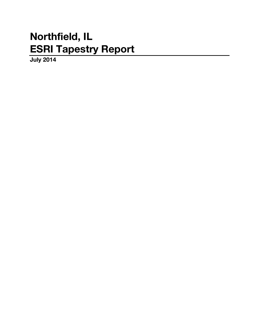# **Northfield, IL ESRI Tapestry Report**

**July 2014**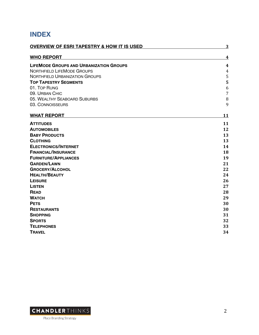# **INDEX**

| <b>OVERVIEW OF ESRI TAPESTRY &amp; HOW IT IS USED</b> | 3              |
|-------------------------------------------------------|----------------|
| <b>WHO REPORT</b>                                     | 4              |
| <b>LIFEMODE GROUPS AND URBANIZATION GROUPS</b>        | 4              |
| <b>NORTHFIELD LIFEMODE GROUPS</b>                     | $\overline{4}$ |
| <b>NORTHFIELD URBANIZATION GROUPS</b>                 | 5              |
| <b>TOP TAPESTRY SEGMENTS</b>                          | 5              |
| 01. TOP RUNG                                          | 6              |
| 09. URBAN CHIC                                        | $\overline{7}$ |
| 05. WEALTHY SEABOARD SUBURBS                          | 8              |
| 03. CONNOISSEURS                                      | 9              |
| <b>WHAT REPORT</b>                                    | 11             |
| <b>ATTITUDES</b>                                      | 11             |
| <b>AUTOMOBILES</b>                                    | 12             |
| <b>BABY PRODUCTS</b>                                  | 13             |
| <b>CLOTHING</b>                                       | 13             |
| <b>ELECTRONICS/INTERNET</b>                           | 14             |
| <b>FINANCIAL/INSURANCE</b>                            | 18             |
| <b>FURNITURE/APPLIANCES</b>                           | 19             |
| <b>GARDEN/LAWN</b>                                    | 21             |
| <b>GROCERY/ALCOHOL</b>                                | 22             |
| <b>HEALTH/BEAUTY</b>                                  | 24             |
| <b>LEISURE</b>                                        | 26             |
| <b>LISTEN</b>                                         | 27             |
| <b>READ</b>                                           | 28             |
| <b>WATCH</b>                                          | 29             |
| <b>PETS</b>                                           | 30             |
| <b>RESTAURANTS</b>                                    | 30             |
| <b>SHOPPING</b>                                       | 31             |
| <b>SPORTS</b>                                         | 32             |
| <b>TELEPHONES</b>                                     | 33             |
| <b>TRAVEL</b>                                         | 34             |

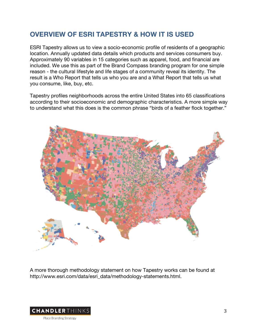# **OVERVIEW OF ESRI TAPESTRY & HOW IT IS USED**

ESRI Tapestry allows us to view a socio-economic profile of residents of a geographic location. Annually updated data details which products and services consumers buy. Approximately 90 variables in 15 categories such as apparel, food, and financial are included. We use this as part of the Brand Compass branding program for one simple reason - the cultural lifestyle and life stages of a community reveal its identity. The result is a Who Report that tells us who you are and a What Report that tells us what you consume, like, buy, etc.

Tapestry profiles neighborhoods across the entire United States into 65 classifications according to their socioeconomic and demographic characteristics. A more simple way to understand what this does is the common phrase "birds of a feather flock together."



A more thorough methodology statement on how Tapestry works can be found at http://www.esri.com/data/esri\_data/methodology-statements.html.

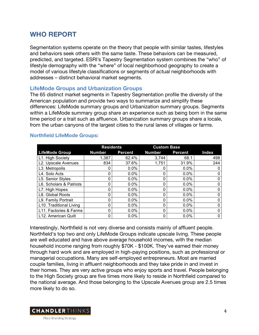# **WHO REPORT**

Segmentation systems operate on the theory that people with similar tastes, lifestyles and behaviors seek others with the same taste. These behaviors can be measured, predicted, and targeted. ESRI's Tapestry Segmentation system combines the "who" of lifestyle demography with the "where" of local neighborhood geography to create a model of various lifestyle classifications or segments of actual neighborhoods with addresses – distinct behavioral market segments.

# **LifeMode Groups and Urbanization Groups**

The 65 distinct market segments in Tapestry Segmentation profile the diversity of the American population and provide two ways to summarize and simplify these differences: LifeMode summary groups and Urbanization summary groups. Segments within a LifeMode summary group share an experience such as being born in the same time period or a trait such as affluence. Urbanization summary groups share a locale, from the urban canyons of the largest cities to the rural lanes of villages or farms.

#### **Northfield LifeMode Groups:**

|                         | <b>Residents</b> |         | <b>Custom Base</b> |                |              |
|-------------------------|------------------|---------|--------------------|----------------|--------------|
| <b>LifeMode Group</b>   | <b>Number</b>    | Percent | <b>Number</b>      | <b>Percent</b> | <b>Index</b> |
| L1. High Society        | 1.387            | 62.4%   | 3,744              | 68.1           | 498          |
| L2. Upscale Avenues     | 834              | 37.6%   | 1,751              | 31.9%          | 244          |
| L3. Metropolis          |                  | $0.0\%$ |                    | 0.0%           |              |
| L4. Solo Acts           | 0                | $0.0\%$ |                    | $0.0\%$        |              |
| L5. Senior Styles       |                  | $0.0\%$ |                    | 0.0%           |              |
| L6. Scholars & Patriots |                  | $0.0\%$ |                    | $0.0\%$        |              |
| L7. High Hopes          |                  | $0.0\%$ |                    | 0.0%           |              |
| L8. Global Roots        | n                | $0.0\%$ |                    | 0.0%           |              |
| L9. Family Portrait     | 0                | $0.0\%$ | 0                  | $0.0\%$        |              |
| L10. Traditional Living |                  | $0.0\%$ |                    | $0.0\%$        |              |
| L11. Factories & Farms  | 0                | $0.0\%$ |                    | $0.0\%$        |              |
| L12. American Quilt     |                  | $0.0\%$ | ი                  | $0.0\%$        | 0            |

Interestingly, Northfield is not very diverse and consists mainly of affluent people. Northfield's top two and only LifeMode Groups indicate upscale living. These people are well educated and have above average household incomes, with the median household income ranging from roughly \$70K - \$100K. They've earned their money through hard work and are employed in high-paying positions, such as professional or managerial occupations. Many are self-employed entrepreneurs. Most are married couple families, living in affluent neighborhoods and they take pride in and invest in their homes. They are very active groups who enjoy sports and travel. People belonging to the High Society group are five times more likely to reside in Northfield compared to the national average. And those belonging to the Upscale Avenues group are 2.5 times more likely to do so.

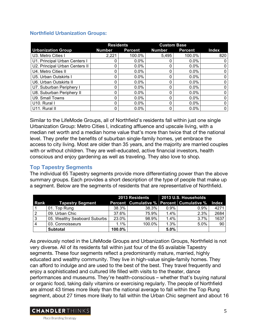# **Northfield Urbanization Groups:**

|                                | <b>Residents</b> |         | <b>Custom Base</b> |                |              |
|--------------------------------|------------------|---------|--------------------|----------------|--------------|
| <b>Urbanization Group</b>      | <b>Number</b>    | Percent | <b>Number</b>      | <b>Percent</b> | <b>Index</b> |
| U3. Metro Cities I             | 2,221            | 100.0%  | 5,495              | 100.0%         | 820          |
| U1. Principal Urban Centers I  |                  | $0.0\%$ |                    | $0.0\%$        |              |
| U2. Principal Urban Centers II | 0                | $0.0\%$ |                    | $0.0\%$        |              |
| U4. Metro Cities II            | $\Omega$         | 0.0%    |                    | $0.0\%$        |              |
| U5. Urban Outskirts I          | 0                | $0.0\%$ |                    | $0.0\%$        |              |
| U6. Urban Outskirts II         | 0                | $0.0\%$ |                    | $0.0\%$        |              |
| U7. Suburban Periphery I       | 0                | 0.0%    |                    | $0.0\%$        |              |
| U8. Suburban Periphery II      | 0                | $0.0\%$ |                    | $0.0\%$        |              |
| U9. Small Towns                | 0                | $0.0\%$ |                    | $0.0\%$        |              |
| U10. Rural I                   | 0                | $0.0\%$ |                    | $0.0\%$        |              |
| U11. Rural II                  | 0                | 0.0%    |                    | $0.0\%$        | 0            |

Similar to the LifeMode Groups, all of Northfield's residents fall within just one single Urbanization Group: Metro Cities I, indicating affluence and upscale living, with a median net worth and a median home value that's more than twice that of the national level. They prefer the benefits of suburban single-family homes, yet embrace the access to city living. Most are older than 35 years, and the majority are married couples with or without children. They are well-educated, active financial investors, health conscious and enjoy gardening as well as traveling. They also love to shop.

# **Top Tapestry Segments**

The individual 65 Tapestry segments provide more differentiating power than the above summary groups. Each provides a short description of the type of people that make up a segment. Below are the segments of residents that are representative of Northfield.

|                |                              |         | 2013 Residents 2013 U.S. Households |         |                                                 |      |
|----------------|------------------------------|---------|-------------------------------------|---------|-------------------------------------------------|------|
| Rank           | Tapestry Segment             |         |                                     |         | Percent Cumulative % Percent Cumulative % Index |      |
|                | 01. Top Rung                 | 38.3%   | 38.3%                               | $0.9\%$ | $0.9\%$                                         | 4271 |
| $\overline{2}$ | 09. Urban Chic               | 37.6%   | 75.9%                               | $1.4\%$ | 2.3%                                            | 2684 |
| 3              | 05. Wealthy Seaboard Suburbs | 23.0%   | 98.9%                               | $1.4\%$ | $3.7\%$                                         | 1637 |
| 4              | 03. Connoisseurs             | $1.1\%$ | 100.0%                              | $1.3\%$ | $5.0\%$                                         | 90   |
|                | <b>Subtotal</b>              | 100.0%  |                                     | 5.0%    |                                                 |      |

As previously noted in the LifeMode Groups and Urbanization Groups, Northfield is not very diverse. All of its residents fall within just four of the 65 available Tapestry segments. These four segments reflect a predominantly mature, married, highly educated and wealthy community. They live in high-value single-family homes. They can afford to indulge and are used to the best of the best. They travel frequently and enjoy a sophisticated and cultured life filled with visits to the theater, dance performances and museums. They're health-conscious – whether that's buying natural or organic food, taking daily vitamins or exercising regularly. The people of Northfield are almost 43 times more likely than the national average to fall within the Top Rung segment, about 27 times more likely to fall within the Urban Chic segment and about 16

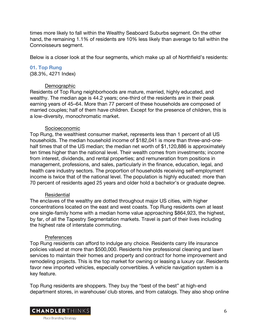times more likely to fall within the Wealthy Seaboard Suburbs segment. On the other hand, the remaining 1.1% of residents are 10% less likely than average to fall within the Connoisseurs segment.

Below is a closer look at the four segments, which make up all of Northfield's residents:

# **01. Top Rung**

(38.3%, 4271 Index)

# **Demographic**

Residents of Top Rung neighborhoods are mature, married, highly educated, and wealthy. The median age is 44.2 years; one-third of the residents are in their peak earning years of 45–64. More than 77 percent of these households are composed of married couples; half of them have children. Except for the presence of children, this is a low-diversity, monochromatic market.

# Socioeconomic

Top Rung, the wealthiest consumer market, represents less than 1 percent of all US households. The median household income of \$182,041 is more than three-and-onehalf times that of the US median; the median net worth of \$1,120,886 is approximately ten times higher than the national level. Their wealth comes from investments; income from interest, dividends, and rental properties; and remuneration from positions in management, professions, and sales, particularly in the finance, education, legal, and health care industry sectors. The proportion of households receiving self-employment income is twice that of the national level. The population is highly educated: more than 70 percent of residents aged 25 years and older hold a bachelor's or graduate degree.

#### **Residential**

The enclaves of the wealthy are dotted throughout major US cities, with higher concentrations located on the east and west coasts. Top Rung residents own at least one single-family home with a median home value approaching \$864,923, the highest, by far, of all the Tapestry Segmentation markets. Travel is part of their lives including the highest rate of interstate commuting.

# Preferences

Top Rung residents can afford to indulge any choice. Residents carry life insurance policies valued at more than \$500,000. Residents hire professional cleaning and lawn services to maintain their homes and property and contract for home improvement and remodeling projects. This is the top market for owning or leasing a luxury car. Residents favor new imported vehicles, especially convertibles. A vehicle navigation system is a key feature.

Top Rung residents are shoppers. They buy the "best of the best" at high-end department stores, in warehouse/ club stores, and from catalogs. They also shop online

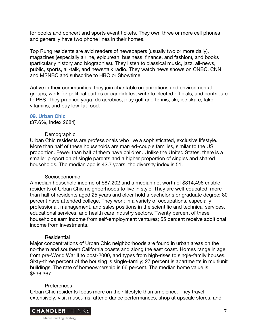for books and concert and sports event tickets. They own three or more cell phones and generally have two phone lines in their homes.

Top Rung residents are avid readers of newspapers (usually two or more daily), magazines (especially airline, epicurean, business, finance, and fashion), and books (particularly history and biographies). They listen to classical music, jazz, all-news, public, sports, all-talk, and news/talk radio. They watch news shows on CNBC, CNN, and MSNBC and subscribe to HBO or Showtime.

Active in their communities, they join charitable organizations and environmental groups, work for political parties or candidates, write to elected officials, and contribute to PBS. They practice yoga, do aerobics, play golf and tennis, ski, ice skate, take vitamins, and buy low-fat food.

# **09. Urban Chic**

(37.6%, Index 2684)

# **Demographic**

Urban Chic residents are professionals who live a sophisticated, exclusive lifestyle. More than half of these households are married-couple families, similar to the US proportion. Fewer than half of them have children. Unlike the United States, there is a smaller proportion of single parents and a higher proportion of singles and shared households. The median age is 42.7 years; the diversity index is 51.

#### Socioeconomic

A median household income of \$87,202 and a median net worth of \$314,496 enable residents of Urban Chic neighborhoods to live in style. They are well-educated; more than half of residents aged 25 years and older hold a bachelor's or graduate degree; 80 percent have attended college. They work in a variety of occupations, especially professional, management, and sales positions in the scientific and technical services, educational services, and health care industry sectors. Twenty percent of these households earn income from self-employment ventures; 55 percent receive additional income from investments.

# Residential

Major concentrations of Urban Chic neighborhoods are found in urban areas on the northern and southern California coasts and along the east coast. Homes range in age from pre-World War II to post-2000, and types from high-rises to single-family houses. Sixty-three percent of the housing is single-family; 27 percent is apartments in multiunit buildings. The rate of homeownership is 66 percent. The median home value is \$536,367.

# **Preferences**

Urban Chic residents focus more on their lifestyle than ambience. They travel extensively, visit museums, attend dance performances, shop at upscale stores, and

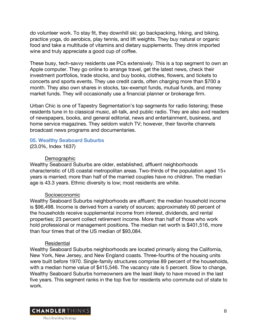do volunteer work. To stay fit, they downhill ski; go backpacking, hiking, and biking, practice yoga, do aerobics, play tennis, and lift weights. They buy natural or organic food and take a multitude of vitamins and dietary supplements. They drink imported wine and truly appreciate a good cup of coffee.

These busy, tech-savvy residents use PCs extensively. This is a top segment to own an Apple computer. They go online to arrange travel, get the latest news, check their investment portfolios, trade stocks, and buy books, clothes, flowers, and tickets to concerts and sports events. They use credit cards, often charging more than \$700 a month. They also own shares in stocks, tax-exempt funds, mutual funds, and money market funds. They will occasionally use a financial planner or brokerage firm.

Urban Chic is one of Tapestry Segmentation's top segments for radio listening; these residents tune in to classical music, all-talk, and public radio. They are also avid readers of newspapers, books, and general editorial, news and entertainment, business, and home service magazines. They seldom watch TV; however, their favorite channels broadcast news programs and documentaries.

# **05. Wealthy Seaboard Suburbs**

(23.0%, Index 1637)

#### **Demographic**

Wealthy Seaboard Suburbs are older, established, affluent neighborhoods characteristic of US coastal metropolitan areas. Two-thirds of the population aged 15+ years is married; more than half of the married couples have no children. The median age is 43.3 years. Ethnic diversity is low; most residents are white.

#### Socioeconomic

Wealthy Seaboard Suburbs neighborhoods are affluent; the median household income is \$96,498. Income is derived from a variety of sources; approximately 60 percent of the households receive supplemental income from interest, dividends, and rental properties; 23 percent collect retirement income. More than half of those who work hold professional or management positions. The median net worth is \$401,516, more than four times that of the US median of \$93,084.

#### Residential

Wealthy Seaboard Suburbs neighborhoods are located primarily along the California, New York, New Jersey, and New England coasts. Three-fourths of the housing units were built before 1970. Single-family structures comprise 89 percent of the households, with a median home value of \$415,546. The vacancy rate is 5 percent. Slow to change, Wealthy Seaboard Suburbs homeowners are the least likely to have moved in the last five years. This segment ranks in the top five for residents who commute out of state to work.

**CHANDLER**THINKS Place Branding Strategy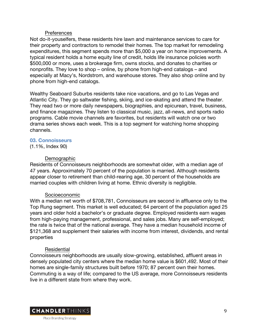#### **Preferences**

Not do-it-youselfers, these residents hire lawn and maintenance services to care for their property and contractors to remodel their homes. The top market for remodeling expenditures, this segment spends more than \$5,000 a year on home improvements. A typical resident holds a home equity line of credit, holds life insurance policies worth \$500,000 or more, uses a brokerage firm, owns stocks, and donates to charities or nonprofits. They love to shop – online, by phone from high-end catalogs – and especially at Macy's, Nordstrom, and warehouse stores. They also shop online and by phone from high-end catalogs.

Wealthy Seaboard Suburbs residents take nice vacations, and go to Las Vegas and Atlantic City. They go saltwater fishing, skiing, and ice-skating and attend the theater. They read two or more daily newspapers, biographies, and epicurean, travel, business, and finance magazines. They listen to classical music, jazz, all-news, and sports radio programs. Cable movie channels are favorites, but residents will watch one or two drama series shows each week. This is a top segment for watching home shopping channels.

#### **03. Connoisseurs**

(1.1%, Index 90)

#### **Demographic**

Residents of Connoisseurs neighborhoods are somewhat older, with a median age of 47 years. Approximately 70 percent of the population is married. Although residents appear closer to retirement than child-rearing age, 30 percent of the households are married couples with children living at home. Ethnic diversity is negligible.

#### Socioeconomic

With a median net worth of \$708,781, Connoisseurs are second in affluence only to the Top Rung segment. This market is well educated; 64 percent of the population aged 25 years and older hold a bachelor's or graduate degree. Employed residents earn wages from high-paying management, professional, and sales jobs. Many are self-employed; the rate is twice that of the national average. They have a median household income of \$121,368 and supplement their salaries with income from interest, dividends, and rental properties

#### Residential

Connoisseurs neighborhoods are usually slow-growing, established, affluent areas in densely populated city centers where the median home value is \$601,492. Most of their homes are single-family structures built before 1970; 87 percent own their homes. Commuting is a way of life; compared to the US average, more Connoisseurs residents live in a different state from where they work.

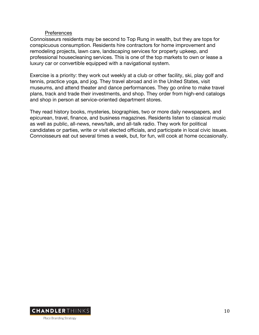#### **Preferences**

Connoisseurs residents may be second to Top Rung in wealth, but they are tops for conspicuous consumption. Residents hire contractors for home improvement and remodeling projects, lawn care, landscaping services for property upkeep, and professional housecleaning services. This is one of the top markets to own or lease a luxury car or convertible equipped with a navigational system.

Exercise is a priority: they work out weekly at a club or other facility, ski, play golf and tennis, practice yoga, and jog. They travel abroad and in the United States, visit museums, and attend theater and dance performances. They go online to make travel plans, track and trade their investments, and shop. They order from high-end catalogs and shop in person at service-oriented department stores.

They read history books, mysteries, biographies, two or more daily newspapers, and epicurean, travel, finance, and business magazines. Residents listen to classical music as well as public, all-news, news/talk, and all-talk radio. They work for political candidates or parties, write or visit elected officials, and participate in local civic issues. Connoisseurs eat out several times a week, but, for fun, will cook at home occasionally.

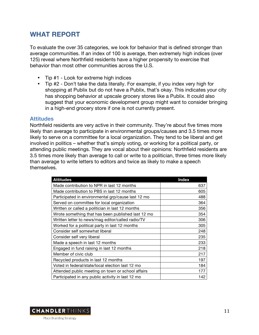# **WHAT REPORT**

To evaluate the over 35 categories, we look for behavior that is defined stronger than average communities. If an index of 100 is average, then extremely high indices (over 125) reveal where Northfield residents have a higher propensity to exercise that behavior than most other communities across the U.S.

- Tip #1 Look for extreme high indices
- Tip #2 Don't take the data literally. For example, if you index very high for shopping at Publix but do not have a Publix, that's okay. This indicates your city has shopping behavior at upscale grocery stores like a Publix. It could also suggest that your economic development group might want to consider bringing in a high-end grocery store if one is not currently present.

#### **Attitudes**

Northfield residents are very active in their community. They're about five times more likely than average to participate in environmental groups/causes and 3.5 times more likely to serve on a committee for a local organization. They tend to be liberal and get involved in politics – whether that's simply voting, or working for a political party, or attending public meetings. They are vocal about their opinions: Northfield residents are 3.5 times more likely than average to call or write to a politician, three times more likely than average to write letters to editors and twice as likely to make a speech themselves.

| <b>Attitudes</b>                                   | <b>Index</b> |
|----------------------------------------------------|--------------|
| Made contribution to NPR in last 12 months         | 637          |
| Made contribution to PBS in last 12 months         | 605          |
| Participated in environmental grp/cause last 12 mo | 488          |
| Served on committee for local organization         | 364          |
| Written or called a politician in last 12 months   | 356          |
| Wrote something that has been published last 12 mo | 354          |
| Written letter to news/mag editor/called radio/TV  | 306          |
| Worked for a political party in last 12 months     | 305          |
| Consider self somewhat liberal                     | 248          |
| Consider self very liberal                         | 235          |
| Made a speech in last 12 months                    | 233          |
| Engaged in fund raising in last 12 months          | 218          |
| Member of civic club                               | 217          |
| Recycled products in last 12 months                | 197          |
| Voted in federal/state/local election last 12 mo   | 184          |
| Attended public meeting on town or school affairs  | 177          |
| Participated in any public activity in last 12 mo  | 142          |

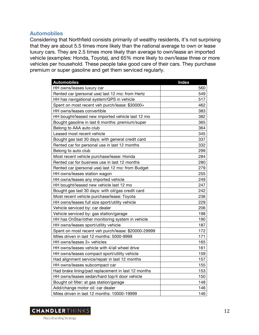# **Automobiles**

Considering that Northfield consists primarily of wealthy residents, it's not surprising that they are about 5.5 times more likely than the national average to own or lease luxury cars. They are 2.5 times more likely than average to own/lease an imported vehicle (examples: Honda, Toyota), and 65% more likely to own/lease three or more vehicles per household. These people take good care of their cars. They purchase premium or super gasoline and get them serviced regularly.

| <b>Automobiles</b>                                  | Index |
|-----------------------------------------------------|-------|
| HH owns/leases luxury car                           | 560   |
| Rented car (personal use) last 12 mo: from Hertz    | 549   |
| HH has navigational system/GPS in vehicle           | 517   |
| Spent on most recent veh purch/lease: \$30000+      | 462   |
| HH owns/leases convertible                          | 383   |
| HH bought/leased new imported vehicle last 12 mo    | 382   |
| Bought gasoline in last 6 months: premium/super     | 365   |
| Belong to AAA auto club                             | 364   |
| Leased most recent vehicle                          | 345   |
| Bought gas last 30 days: with general credit card   | 337   |
| Rented car for personal use in last 12 months       | 332   |
| Belong to auto club                                 | 299   |
| Most recent vehicle purchase/lease: Honda           | 284   |
| Rented car for business use in last 12 months       | 280   |
| Rented car (personal use) last 12 mo: from Budget   | 279   |
| HH owns/leases station wagon                        | 255   |
| HH owns/leases any imported vehicle                 | 249   |
| HH bought/leased new vehicle last 12 mo             | 247   |
| Bought gas last 30 days: with oil/gas credit card   | 242   |
| Most recent vehicle purchase/lease: Toyota          | 236   |
| HH owns/leases full size sport/utility vehicle      | 229   |
| Vehicle serviced by: car dealer                     | 206   |
| Vehicle serviced by: gas station/garage             | 198   |
| HH has OnStar/other monitoring system in vehicle    | 190   |
| HH owns/leases sport/utility vehicle                | 187   |
| Spent on most recent veh purch/lease: \$20000-29999 | 172   |
| Miles driven in last 12 months: 5000-9999           | 171   |
| HH owns/leases 3+ vehicles                          | 165   |
| HH owns/leases vehicle with 4/all wheel drive       | 161   |
| HH owns/leases compact sport/utility vehicle        | 159   |
| Had alignment service/repair in last 12 months      | 157   |
| HH owns/leases subcompact car                       | 155   |
| Had brake lining/pad replacement in last 12 months  | 153   |
| HH owns/leases sedan/hard top/4 door vehicle        | 150   |
| Bought oil filter: at gas station/garage            | 148   |
| Add/change motor oil: car dealer                    | 146   |
| Miles driven in last 12 months: 10000-19999         | 146   |

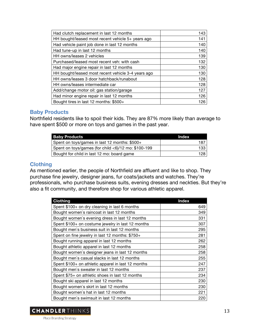| Had clutch replacement in last 12 months           | 143 |
|----------------------------------------------------|-----|
| HH bought/leased most recent vehicle 5+ years ago  | 141 |
| Had vehicle paint job done in last 12 months       | 140 |
| Had tune-up in last 12 months                      | 140 |
| HH owns/leases 2 vehicles                          | 139 |
| Purchased/leased most recent veh: with cash        | 132 |
| Had major engine repair in last 12 months          | 130 |
| HH bought/leased most recent vehicle 3-4 years ago | 130 |
| HH owns/leases 3 door hatchback/runabout           | 128 |
| HH owns/leases intermediate car                    | 128 |
| Add/change motor oil: gas station/garage           | 127 |
| Had minor engine repair in last 12 months          | 126 |
| Bought tires in last 12 months: \$500+             | 126 |

# **Baby Products**

Northfield residents like to spoil their kids. They are 87% more likely than average to have spent \$500 or more on toys and games in the past year.

| <b>Baby Products</b>                                | Index |
|-----------------------------------------------------|-------|
| Spent on toys/games in last 12 months: \$500+       | 187   |
| Spent on toys/games (for child <6)/12 mo: \$100-199 | 133   |
| Bought for child in last 12 mo: board game          | 128.  |

# **Clothing**

As mentioned earlier, the people of Northfield are affluent and like to shop. They purchase fine jewelry, designer jeans, fur coats/jackets and watches. They're professionals, who purchase business suits, evening dresses and neckties. But they're also a fit community, and therefore shop for various athletic apparel.

| <b>Clothing</b>                                    | <b>Index</b> |
|----------------------------------------------------|--------------|
| Spent \$100+ on dry cleaning in last 6 months      | 649          |
| Bought women's raincoat in last 12 months          | 349          |
| Bought women's evening dress in last 12 months     | 331          |
| Spent \$100+ on costume jewelry in last 12 months  | 307          |
| Bought men's business suit in last 12 months       | 295          |
| Spent on fine jewelry in last 12 months: \$750+    | 281          |
| Bought running apparel in last 12 months           | 262          |
| Bought athletic apparel in last 12 months          | 258          |
| Bought women's designer jeans in last 12 months    | 258          |
| Bought men's casual slacks in last 12 months       | 255          |
| Spent \$100+ on athletic apparel in last 12 months | 247          |
| Bought men's sweater in last 12 months             | 237          |
| Spent \$75+ on athletic shoes in last 12 months    | 234          |
| Bought ski apparel in last 12 months               | 230          |
| Bought women's skirt in last 12 months             | 230          |
| Bought women's hat in last 12 months               | 221          |
| Bought men's swimsuit in last 12 months            | 220          |

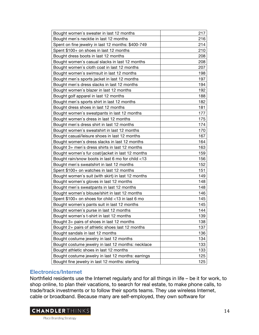| Bought men's necktie in last 12 months<br>216<br>214<br>Spent on fine jewelry in last 12 months: \$400-749<br>Spent \$100+ on shoes in last 12 months<br>210<br>Bought dress boots in last 12 months<br>208<br>Bought women's casual slacks in last 12 months<br>208<br>207<br>Bought women's cloth coat in last 12 months<br>Bought women's swimsuit in last 12 months<br>198<br>197<br>Bought men's sports jacket in last 12 months<br>194<br>Bought men's dress slacks in last 12 months<br>192<br>Bought women's blazer in last 12 months<br>Bought golf apparel in last 12 months<br>188<br>Bought men's sports shirt in last 12 months<br>182<br>181<br>Bought dress shoes in last 12 months<br>177<br>Bought women's sweatpants in last 12 months<br>175<br>Bought women's dress in last 12 months<br>174<br>Bought men's dress shirt in last 12 months<br>170<br>Bought women's sweatshirt in last 12 months<br>167<br>Bought casual/leisure shoes in last 12 months<br>Bought women's dress slacks in last 12 months<br>164<br>Bought 3+ men's dress shirts in last 12 months<br>163<br>159<br>Bought women's fur coat/jacket in last 12 months<br>156<br>Bought rain/snow boots in last 6 mo for child <13<br>152<br>Bought men's sweatshirt in last 12 months<br>151<br>Spent \$100+ on watches in last 12 months<br>149<br>Bought women's suit (with skirt) in last 12 months<br>148<br>Bought women's gloves in last 12 months<br>148<br>Bought men's sweatpants in last 12 months<br>146<br>Bought women's blouse/shirt in last 12 months<br>145<br>Spent \$100+ on shoes for child <13 in last 6 mo<br>145<br>Bought women's pants suit in last 12 months<br>Bought women's purse in last 12 months<br>144 |                                          |     |
|---------------------------------------------------------------------------------------------------------------------------------------------------------------------------------------------------------------------------------------------------------------------------------------------------------------------------------------------------------------------------------------------------------------------------------------------------------------------------------------------------------------------------------------------------------------------------------------------------------------------------------------------------------------------------------------------------------------------------------------------------------------------------------------------------------------------------------------------------------------------------------------------------------------------------------------------------------------------------------------------------------------------------------------------------------------------------------------------------------------------------------------------------------------------------------------------------------------------------------------------------------------------------------------------------------------------------------------------------------------------------------------------------------------------------------------------------------------------------------------------------------------------------------------------------------------------------------------------------------------------------------------------------------------------------------------------------------------------------|------------------------------------------|-----|
|                                                                                                                                                                                                                                                                                                                                                                                                                                                                                                                                                                                                                                                                                                                                                                                                                                                                                                                                                                                                                                                                                                                                                                                                                                                                                                                                                                                                                                                                                                                                                                                                                                                                                                                           | Bought women's sweater in last 12 months | 217 |
|                                                                                                                                                                                                                                                                                                                                                                                                                                                                                                                                                                                                                                                                                                                                                                                                                                                                                                                                                                                                                                                                                                                                                                                                                                                                                                                                                                                                                                                                                                                                                                                                                                                                                                                           |                                          |     |
|                                                                                                                                                                                                                                                                                                                                                                                                                                                                                                                                                                                                                                                                                                                                                                                                                                                                                                                                                                                                                                                                                                                                                                                                                                                                                                                                                                                                                                                                                                                                                                                                                                                                                                                           |                                          |     |
|                                                                                                                                                                                                                                                                                                                                                                                                                                                                                                                                                                                                                                                                                                                                                                                                                                                                                                                                                                                                                                                                                                                                                                                                                                                                                                                                                                                                                                                                                                                                                                                                                                                                                                                           |                                          |     |
|                                                                                                                                                                                                                                                                                                                                                                                                                                                                                                                                                                                                                                                                                                                                                                                                                                                                                                                                                                                                                                                                                                                                                                                                                                                                                                                                                                                                                                                                                                                                                                                                                                                                                                                           |                                          |     |
|                                                                                                                                                                                                                                                                                                                                                                                                                                                                                                                                                                                                                                                                                                                                                                                                                                                                                                                                                                                                                                                                                                                                                                                                                                                                                                                                                                                                                                                                                                                                                                                                                                                                                                                           |                                          |     |
|                                                                                                                                                                                                                                                                                                                                                                                                                                                                                                                                                                                                                                                                                                                                                                                                                                                                                                                                                                                                                                                                                                                                                                                                                                                                                                                                                                                                                                                                                                                                                                                                                                                                                                                           |                                          |     |
|                                                                                                                                                                                                                                                                                                                                                                                                                                                                                                                                                                                                                                                                                                                                                                                                                                                                                                                                                                                                                                                                                                                                                                                                                                                                                                                                                                                                                                                                                                                                                                                                                                                                                                                           |                                          |     |
|                                                                                                                                                                                                                                                                                                                                                                                                                                                                                                                                                                                                                                                                                                                                                                                                                                                                                                                                                                                                                                                                                                                                                                                                                                                                                                                                                                                                                                                                                                                                                                                                                                                                                                                           |                                          |     |
|                                                                                                                                                                                                                                                                                                                                                                                                                                                                                                                                                                                                                                                                                                                                                                                                                                                                                                                                                                                                                                                                                                                                                                                                                                                                                                                                                                                                                                                                                                                                                                                                                                                                                                                           |                                          |     |
|                                                                                                                                                                                                                                                                                                                                                                                                                                                                                                                                                                                                                                                                                                                                                                                                                                                                                                                                                                                                                                                                                                                                                                                                                                                                                                                                                                                                                                                                                                                                                                                                                                                                                                                           |                                          |     |
|                                                                                                                                                                                                                                                                                                                                                                                                                                                                                                                                                                                                                                                                                                                                                                                                                                                                                                                                                                                                                                                                                                                                                                                                                                                                                                                                                                                                                                                                                                                                                                                                                                                                                                                           |                                          |     |
|                                                                                                                                                                                                                                                                                                                                                                                                                                                                                                                                                                                                                                                                                                                                                                                                                                                                                                                                                                                                                                                                                                                                                                                                                                                                                                                                                                                                                                                                                                                                                                                                                                                                                                                           |                                          |     |
|                                                                                                                                                                                                                                                                                                                                                                                                                                                                                                                                                                                                                                                                                                                                                                                                                                                                                                                                                                                                                                                                                                                                                                                                                                                                                                                                                                                                                                                                                                                                                                                                                                                                                                                           |                                          |     |
|                                                                                                                                                                                                                                                                                                                                                                                                                                                                                                                                                                                                                                                                                                                                                                                                                                                                                                                                                                                                                                                                                                                                                                                                                                                                                                                                                                                                                                                                                                                                                                                                                                                                                                                           |                                          |     |
|                                                                                                                                                                                                                                                                                                                                                                                                                                                                                                                                                                                                                                                                                                                                                                                                                                                                                                                                                                                                                                                                                                                                                                                                                                                                                                                                                                                                                                                                                                                                                                                                                                                                                                                           |                                          |     |
|                                                                                                                                                                                                                                                                                                                                                                                                                                                                                                                                                                                                                                                                                                                                                                                                                                                                                                                                                                                                                                                                                                                                                                                                                                                                                                                                                                                                                                                                                                                                                                                                                                                                                                                           |                                          |     |
|                                                                                                                                                                                                                                                                                                                                                                                                                                                                                                                                                                                                                                                                                                                                                                                                                                                                                                                                                                                                                                                                                                                                                                                                                                                                                                                                                                                                                                                                                                                                                                                                                                                                                                                           |                                          |     |
|                                                                                                                                                                                                                                                                                                                                                                                                                                                                                                                                                                                                                                                                                                                                                                                                                                                                                                                                                                                                                                                                                                                                                                                                                                                                                                                                                                                                                                                                                                                                                                                                                                                                                                                           |                                          |     |
|                                                                                                                                                                                                                                                                                                                                                                                                                                                                                                                                                                                                                                                                                                                                                                                                                                                                                                                                                                                                                                                                                                                                                                                                                                                                                                                                                                                                                                                                                                                                                                                                                                                                                                                           |                                          |     |
|                                                                                                                                                                                                                                                                                                                                                                                                                                                                                                                                                                                                                                                                                                                                                                                                                                                                                                                                                                                                                                                                                                                                                                                                                                                                                                                                                                                                                                                                                                                                                                                                                                                                                                                           |                                          |     |
|                                                                                                                                                                                                                                                                                                                                                                                                                                                                                                                                                                                                                                                                                                                                                                                                                                                                                                                                                                                                                                                                                                                                                                                                                                                                                                                                                                                                                                                                                                                                                                                                                                                                                                                           |                                          |     |
|                                                                                                                                                                                                                                                                                                                                                                                                                                                                                                                                                                                                                                                                                                                                                                                                                                                                                                                                                                                                                                                                                                                                                                                                                                                                                                                                                                                                                                                                                                                                                                                                                                                                                                                           |                                          |     |
|                                                                                                                                                                                                                                                                                                                                                                                                                                                                                                                                                                                                                                                                                                                                                                                                                                                                                                                                                                                                                                                                                                                                                                                                                                                                                                                                                                                                                                                                                                                                                                                                                                                                                                                           |                                          |     |
|                                                                                                                                                                                                                                                                                                                                                                                                                                                                                                                                                                                                                                                                                                                                                                                                                                                                                                                                                                                                                                                                                                                                                                                                                                                                                                                                                                                                                                                                                                                                                                                                                                                                                                                           |                                          |     |
|                                                                                                                                                                                                                                                                                                                                                                                                                                                                                                                                                                                                                                                                                                                                                                                                                                                                                                                                                                                                                                                                                                                                                                                                                                                                                                                                                                                                                                                                                                                                                                                                                                                                                                                           |                                          |     |
|                                                                                                                                                                                                                                                                                                                                                                                                                                                                                                                                                                                                                                                                                                                                                                                                                                                                                                                                                                                                                                                                                                                                                                                                                                                                                                                                                                                                                                                                                                                                                                                                                                                                                                                           |                                          |     |
|                                                                                                                                                                                                                                                                                                                                                                                                                                                                                                                                                                                                                                                                                                                                                                                                                                                                                                                                                                                                                                                                                                                                                                                                                                                                                                                                                                                                                                                                                                                                                                                                                                                                                                                           |                                          |     |
|                                                                                                                                                                                                                                                                                                                                                                                                                                                                                                                                                                                                                                                                                                                                                                                                                                                                                                                                                                                                                                                                                                                                                                                                                                                                                                                                                                                                                                                                                                                                                                                                                                                                                                                           |                                          |     |
|                                                                                                                                                                                                                                                                                                                                                                                                                                                                                                                                                                                                                                                                                                                                                                                                                                                                                                                                                                                                                                                                                                                                                                                                                                                                                                                                                                                                                                                                                                                                                                                                                                                                                                                           |                                          |     |
|                                                                                                                                                                                                                                                                                                                                                                                                                                                                                                                                                                                                                                                                                                                                                                                                                                                                                                                                                                                                                                                                                                                                                                                                                                                                                                                                                                                                                                                                                                                                                                                                                                                                                                                           |                                          |     |
|                                                                                                                                                                                                                                                                                                                                                                                                                                                                                                                                                                                                                                                                                                                                                                                                                                                                                                                                                                                                                                                                                                                                                                                                                                                                                                                                                                                                                                                                                                                                                                                                                                                                                                                           |                                          |     |
| 139<br>Bought women's t-shirt in last 12 months                                                                                                                                                                                                                                                                                                                                                                                                                                                                                                                                                                                                                                                                                                                                                                                                                                                                                                                                                                                                                                                                                                                                                                                                                                                                                                                                                                                                                                                                                                                                                                                                                                                                           |                                          |     |
| 138<br>Bought 3+ pairs of shoes in last 12 months                                                                                                                                                                                                                                                                                                                                                                                                                                                                                                                                                                                                                                                                                                                                                                                                                                                                                                                                                                                                                                                                                                                                                                                                                                                                                                                                                                                                                                                                                                                                                                                                                                                                         |                                          |     |
| 137<br>Bought 2+ pairs of athletic shoes last 12 months                                                                                                                                                                                                                                                                                                                                                                                                                                                                                                                                                                                                                                                                                                                                                                                                                                                                                                                                                                                                                                                                                                                                                                                                                                                                                                                                                                                                                                                                                                                                                                                                                                                                   |                                          |     |
| Bought sandals in last 12 months<br>136                                                                                                                                                                                                                                                                                                                                                                                                                                                                                                                                                                                                                                                                                                                                                                                                                                                                                                                                                                                                                                                                                                                                                                                                                                                                                                                                                                                                                                                                                                                                                                                                                                                                                   |                                          |     |
| Bought costume jewelry in last 12 months<br>134                                                                                                                                                                                                                                                                                                                                                                                                                                                                                                                                                                                                                                                                                                                                                                                                                                                                                                                                                                                                                                                                                                                                                                                                                                                                                                                                                                                                                                                                                                                                                                                                                                                                           |                                          |     |
| 133<br>Bought costume jewelry in last 12 months: necklace                                                                                                                                                                                                                                                                                                                                                                                                                                                                                                                                                                                                                                                                                                                                                                                                                                                                                                                                                                                                                                                                                                                                                                                                                                                                                                                                                                                                                                                                                                                                                                                                                                                                 |                                          |     |
| 133<br>Bought athletic shoes in last 12 months                                                                                                                                                                                                                                                                                                                                                                                                                                                                                                                                                                                                                                                                                                                                                                                                                                                                                                                                                                                                                                                                                                                                                                                                                                                                                                                                                                                                                                                                                                                                                                                                                                                                            |                                          |     |
| Bought costume jewelry in last 12 months: earrings<br>125                                                                                                                                                                                                                                                                                                                                                                                                                                                                                                                                                                                                                                                                                                                                                                                                                                                                                                                                                                                                                                                                                                                                                                                                                                                                                                                                                                                                                                                                                                                                                                                                                                                                 |                                          |     |
| Bought fine jewelry in last 12 months: sterling<br>125                                                                                                                                                                                                                                                                                                                                                                                                                                                                                                                                                                                                                                                                                                                                                                                                                                                                                                                                                                                                                                                                                                                                                                                                                                                                                                                                                                                                                                                                                                                                                                                                                                                                    |                                          |     |

# **Electronics/Internet**

Northfield residents use the Internet regularly and for all things in life – be it for work, to shop online, to plan their vacations, to search for real estate, to make phone calls, to trade/track investments or to follow their sports teams. They use wireless Internet, cable or broadband. Because many are self-employed, they own software for

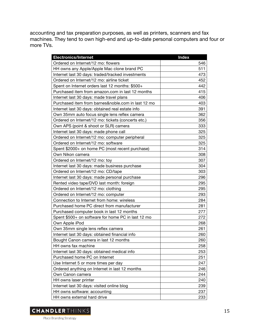accounting and tax preparation purposes, as well as printers, scanners and fax machines. They tend to own high-end and up-to-date personal computers and four or more TVs.

| <b>Electronics/Internet</b>                        | <b>Index</b> |
|----------------------------------------------------|--------------|
| Ordered on Internet/12 mo: flowers                 | 546          |
| HH owns any Apple/Apple Mac clone brand PC         | 511          |
| Internet last 30 days: traded/tracked investments  | 473          |
| Ordered on Internet/12 mo: airline ticket          | 452          |
| Spent on Internet orders last 12 months: \$500+    | 442          |
| Purchased item from amazon.com in last 12 months   | 415          |
| Internet last 30 days: made travel plans           | 406          |
| Purchased item from barnes&noble.com in last 12 mo | 403          |
| Internet last 30 days: obtained real estate info   | 391          |
| Own 35mm auto focus single lens reflex camera      | 362          |
| Ordered on Internet/12 mo: tickets (concerts etc.) | 356          |
| Own APS (point & shoot or SLR) camera              | 333          |
| Internet last 30 days: made phone call             | 325          |
| Ordered on Internet/12 mo: computer peripheral     | 325          |
| Ordered on Internet/12 mo: software                | 325          |
| Spent \$2000+ on home PC (most recent purchase)    | 314          |
| Own Nikon camera                                   | 308          |
| Ordered on Internet/12 mo: toy                     | 307          |
| Internet last 30 days: made business purchase      | 304          |
| Ordered on Internet/12 mo: CD/tape                 | 303          |
| Internet last 30 days: made personal purchase      | 296          |
| Rented video tape/DVD last month: foreign          | 295          |
| Ordered on Internet/12 mo: clothing                | 295          |
| Ordered on Internet/12 mo: computer                | 293          |
| Connection to Internet from home: wireless         | 284          |
| Purchased home PC direct from manufacturer         | 281          |
| Purchased computer book in last 12 months          | 277          |
| Spent \$500+ on software for home PC in last 12 mo | 272          |
| Own Apple iPod                                     | 268          |
| Own 35mm single lens reflex camera                 | 261          |
| Internet last 30 days: obtained financial info     | 260          |
| Bought Canon camera in last 12 months              | 260          |
| HH owns fax machine                                | 258          |
| Internet last 30 days: obtained medical info       | 253          |
| Purchased home PC on Internet                      | 251          |
| Use Internet 5 or more times per day               | 247          |
| Ordered anything on Internet in last 12 months     | 246          |
| Own Canon camera                                   | 244          |
| HH owns laser printer                              | 240          |
| Internet last 30 days: visited online blog         | 239          |
| HH owns software: accounting                       | 237          |
| HH owns external hard drive                        | 233          |

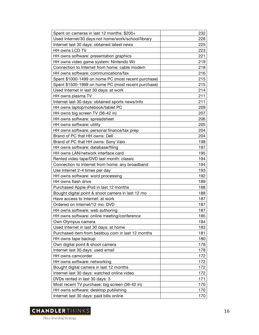| Spent on cameras in last 12 months: \$200+          | 232 |
|-----------------------------------------------------|-----|
| Used Internet/30 days:not home/work/school/library  | 226 |
| Internet last 30 days: obtained latest news         | 225 |
| HH owns LCD TV                                      | 223 |
| HH owns software: presentation graphics             | 221 |
| HH owns video game system: Nintendo Wii             | 219 |
| Connection to Internet from home: cable modem       | 218 |
| HH owns software: communications/fax                | 216 |
| Spent \$1000-1499 on home PC (most recent purchase) | 215 |
| Spent \$1500-1999 on home PC (most recent purchase) | 215 |
| Used Internet in last 30 days: at work              | 214 |
| HH owns plasma TV                                   | 211 |
| Internet last 30 days: obtained sports news/info    | 211 |
| HH owns laptop/notebook/tablet PC                   | 209 |
| HH owns big screen TV (36-42 in)                    | 207 |
| HH owns software: spreadsheet                       | 206 |
| HH owns software: utility                           | 205 |
| HH owns software: personal finance/tax prep         | 204 |
| Brand of PC that HH owns: Dell                      | 204 |
| Brand of PC that HH owns: Sony Vaio                 | 198 |
| HH owns software: database/filing                   | 197 |
| HH owns LAN/network interface card                  | 195 |
| Rented video tape/DVD last month: classic           | 194 |
| Connection to Internet from home: any broadband     | 194 |
| Use Internet 2-4 times per day                      | 193 |
| HH owns software: word processing                   | 192 |
| HH owns flash drive                                 | 189 |
| Purchased Apple iPod in last 12 months              | 188 |
| Bought digital point & shoot camera in last 12 mo   | 188 |
| Have access to Internet: at work                    | 187 |
| Ordered on Internet/12 mo: DVD                      | 187 |
| HH owns software: web authoring                     | 187 |
| HH owns software: online meeting/conference         | 185 |
| Own Olympus camera                                  | 184 |
| Used Internet in last 30 days: at home              | 183 |
| Purchased item from bestbuy.com in last 12 months   | 181 |
| HH owns tape backup                                 | 180 |
| Own digital point & shoot camera                    | 178 |
| Internet last 30 days: used email                   | 178 |
| HH owns camcorder                                   | 172 |
| HH owns software: networking                        | 172 |
| Bought digital camera in last 12 months             | 172 |
| Internet last 30 days: watched online video         | 172 |
| DVDs rented in last 30 days: 3                      | 171 |
| Most recent TV purchase: big screen (36-42 in)      | 170 |
| HH owns software: desktop publishing                | 170 |
| Internet last 30 days: paid bills online            | 170 |

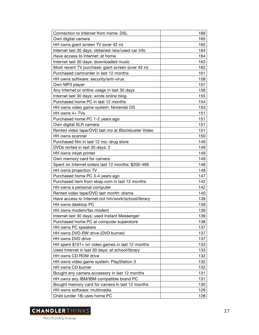| Connection to Internet from home: DSL              | 166 |
|----------------------------------------------------|-----|
| Own digital camera                                 | 165 |
| HH owns giant screen TV (over 42 in)               | 165 |
| Internet last 30 days: obtained new/used car info  | 164 |
| Have access to Internet: at home                   | 164 |
| Internet last 30 days: downloaded music            | 163 |
| Most recent TV purchase: giant screen (over 42 in) | 162 |
| Purchased camcorder in last 12 months              | 161 |
| HH owns software: security/anti-virus              | 158 |
| Own MP3 player                                     | 157 |
| Any Internet or online usage in last 30 days       | 156 |
| Internet last 30 days: wrote online blog           | 155 |
| Purchased home PC in last 12 months                | 154 |
| HH owns video game system: Nintendo DS             | 153 |
| HH owns 4+ TVs                                     | 151 |
| Purchased home PC 1-2 years ago                    | 151 |
| Own digital SLR camera                             | 151 |
| Rented video tape/DVD last mo at Blockbuster Video | 151 |
| HH owns scanner                                    | 150 |
| Purchased film in last 12 mo: drug store           | 149 |
| DVDs rented in last 30 days: 2                     | 149 |
| HH owns inkjet printer                             | 149 |
| Own memory card for camera                         | 149 |
| Spent on Internet orders last 12 months: \$200-499 | 148 |
| HH owns projection TV                              | 148 |
| Purchased home PC 3-4 years ago                    | 147 |
| Purchased item from ebay.com in last 12 months     | 142 |
| HH owns a personal computer                        | 142 |
| Rented video tape/DVD last month: drama            | 140 |
| Have access to Internet:not hm/work/school/library | 139 |
| HH owns desktop PC                                 | 139 |
| HH owns modem/fax modem                            | 139 |
| Internet last 30 days: used Instant Messenger      | 139 |
| Purchased home PC at computer superstore           | 138 |
| HH owns PC speakers                                | 137 |
| HH owns DVD-RW drive (DVD burner)                  | 137 |
| HH owns DVD drive                                  | 137 |
| HH spent \$101+ on video games in last 12 months   | 133 |
| Used Internet in last 30 days: at school/library   | 133 |
| HH owns CD ROM drive                               | 132 |
| HH owns video game system: PlayStation 3           | 132 |
| HH owns CD burner                                  | 132 |
| Bought any camera accessory in last 12 months      | 131 |
| HH owns any IBM/IBM compatible brand PC            | 131 |
| Bought memory card for camera in last 12 months    | 130 |
| HH owns software: multimedia                       | 129 |
| Child (under 18) uses home PC                      | 128 |

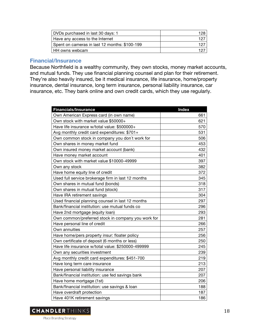| DVDs purchased in last 30 days: 1             | 128. |
|-----------------------------------------------|------|
| Have any access to the Internet               | 127  |
| Spent on cameras in last 12 months: \$100-199 | 197  |
| HH owns webcam                                | 197  |

#### **Financial/Insurance**

Because Northfield is a wealthy community, they own stocks, money market accounts, and mutual funds. They use financial planning counsel and plan for their retirement. They're also heavily insured, be it medical insurance, life insurance, home/property insurance, dental insurance, long term insurance, personal liability insurance, car insurance, etc. They bank online and own credit cards, which they use regularly.

| <b>Financials/Insurance</b>                        | <b>Index</b> |
|----------------------------------------------------|--------------|
| Own American Express card (in own name)            | 661          |
| Own stock with market value \$50000+               | 621          |
| Have life insurance w/total value: \$500000+       | 570          |
| Avg monthly credit card expenditures: \$701+       | 531          |
| Own common stock in company you don't work for     | 506          |
| Own shares in money market fund                    | 453          |
| Own insured money market account (bank)            | 432          |
| Have money market account                          | 401          |
| Own stock with market value \$10000-49999          | 397          |
| Own any stock                                      | 382          |
| Have home equity line of credit                    | 372          |
| Used full service brokerage firm in last 12 months | 345          |
| Own shares in mutual fund (bonds)                  | 318          |
| Own shares in mutual fund (stock)                  | 317          |
| Have IRA retirement savings                        | 304          |
| Used financial planning counsel in last 12 months  | 297          |
| Bank/financial institution: use mutual funds co    | 296          |
| Have 2nd mortgage (equity loan)                    | 293          |
| Own common/preferred stock in company you work for | 281          |
| Have personal line of credit                       | 266          |
| Own annuities                                      | 257          |
| Have home/pers property insur: floater policy      | 256          |
| Own certificate of deposit (6 months or less)      | 250          |
| Have life insurance w/total value: \$250000-499999 | 245          |
| Own any securities investment                      | 239          |
| Avg monthly credit card expenditures: \$451-700    | 219          |
| Have long term care insurance                      | 213          |
| Have personal liability insurance                  | 207          |
| Bank/financial institution: use fed savings bank   | 207          |
| Have home mortgage (1st)                           | 206          |
| Bank/financial institution: use savings & loan     | 188          |
| Have overdraft protection                          | 187          |
| Have 401K retirement savings                       | 186          |

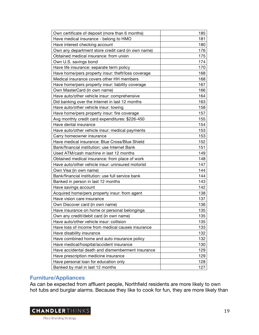| 185<br>Own certificate of deposit (more than 6 months)<br>Have medical insurance - belong to HMO<br>181<br>180<br>Have interest checking account<br>176<br>Own any department store credit card (in own name)<br>175<br>Obtained medical insurance: from union<br>Own U.S. savings bond<br>174<br>170<br>Have life insurance: separate term policy<br>Have home/pers property insur: theft/loss coverage<br>168<br>168<br>Medical insurance covers other HH members<br>167<br>Have home/pers property insur: liability coverage<br>166<br>Own MasterCard (in own name)<br>Have auto/other vehicle insur: comprehensive<br>164<br>Did banking over the Internet in last 12 months<br>163<br>158<br>Have auto/other vehicle insur: towing<br>157<br>Have home/pers property insur: fire coverage<br>155<br>Avg monthly credit card expenditures: \$226-450<br>154<br>Have dental insurance<br>153<br>Have auto/other vehicle insur: medical payments<br>153<br>Carry homeowner insurance<br>Have medical insurance: Blue Cross/Blue Shield<br>152<br>151<br>Bank/financial institution: use Internet Bank<br>Used ATM/cash machine in last 12 months<br>149<br>148<br>Obtained medical insurance: from place of work<br>Have auto/other vehicle insur: uninsured motorist<br>147<br>144<br>Own Visa (in own name)<br>Bank/financial institution: use full service bank<br>144<br>143<br>Banked in person in last 12 months<br>142<br>Have savings account<br>138<br>Acquired home/pers property insur: from agent<br>137<br>Have vision care insurance<br>136<br>Own Discover card (in own name)<br>135<br>Have insurance on home or personal belongings<br>135<br>Own any credit/debit card (in own name)<br>Have auto/other vehicle insur: collision<br>135<br>133<br>Have loss of income from medical causes insurance<br>Have disability insurance<br>132<br>Have combined home and auto insurance policy<br>132<br>Have medical/hospital/accident insurance<br>130<br>129<br>Have accidental death and dismemberment insurance<br>Have prescription medicine insurance<br>129 |                                       |     |
|----------------------------------------------------------------------------------------------------------------------------------------------------------------------------------------------------------------------------------------------------------------------------------------------------------------------------------------------------------------------------------------------------------------------------------------------------------------------------------------------------------------------------------------------------------------------------------------------------------------------------------------------------------------------------------------------------------------------------------------------------------------------------------------------------------------------------------------------------------------------------------------------------------------------------------------------------------------------------------------------------------------------------------------------------------------------------------------------------------------------------------------------------------------------------------------------------------------------------------------------------------------------------------------------------------------------------------------------------------------------------------------------------------------------------------------------------------------------------------------------------------------------------------------------------------------------------------------------------------------------------------------------------------------------------------------------------------------------------------------------------------------------------------------------------------------------------------------------------------------------------------------------------------------------------------------------------------------------------------------------------------------------------------------------------------------------------------|---------------------------------------|-----|
|                                                                                                                                                                                                                                                                                                                                                                                                                                                                                                                                                                                                                                                                                                                                                                                                                                                                                                                                                                                                                                                                                                                                                                                                                                                                                                                                                                                                                                                                                                                                                                                                                                                                                                                                                                                                                                                                                                                                                                                                                                                                                  |                                       |     |
|                                                                                                                                                                                                                                                                                                                                                                                                                                                                                                                                                                                                                                                                                                                                                                                                                                                                                                                                                                                                                                                                                                                                                                                                                                                                                                                                                                                                                                                                                                                                                                                                                                                                                                                                                                                                                                                                                                                                                                                                                                                                                  |                                       |     |
|                                                                                                                                                                                                                                                                                                                                                                                                                                                                                                                                                                                                                                                                                                                                                                                                                                                                                                                                                                                                                                                                                                                                                                                                                                                                                                                                                                                                                                                                                                                                                                                                                                                                                                                                                                                                                                                                                                                                                                                                                                                                                  |                                       |     |
|                                                                                                                                                                                                                                                                                                                                                                                                                                                                                                                                                                                                                                                                                                                                                                                                                                                                                                                                                                                                                                                                                                                                                                                                                                                                                                                                                                                                                                                                                                                                                                                                                                                                                                                                                                                                                                                                                                                                                                                                                                                                                  |                                       |     |
|                                                                                                                                                                                                                                                                                                                                                                                                                                                                                                                                                                                                                                                                                                                                                                                                                                                                                                                                                                                                                                                                                                                                                                                                                                                                                                                                                                                                                                                                                                                                                                                                                                                                                                                                                                                                                                                                                                                                                                                                                                                                                  |                                       |     |
|                                                                                                                                                                                                                                                                                                                                                                                                                                                                                                                                                                                                                                                                                                                                                                                                                                                                                                                                                                                                                                                                                                                                                                                                                                                                                                                                                                                                                                                                                                                                                                                                                                                                                                                                                                                                                                                                                                                                                                                                                                                                                  |                                       |     |
|                                                                                                                                                                                                                                                                                                                                                                                                                                                                                                                                                                                                                                                                                                                                                                                                                                                                                                                                                                                                                                                                                                                                                                                                                                                                                                                                                                                                                                                                                                                                                                                                                                                                                                                                                                                                                                                                                                                                                                                                                                                                                  |                                       |     |
|                                                                                                                                                                                                                                                                                                                                                                                                                                                                                                                                                                                                                                                                                                                                                                                                                                                                                                                                                                                                                                                                                                                                                                                                                                                                                                                                                                                                                                                                                                                                                                                                                                                                                                                                                                                                                                                                                                                                                                                                                                                                                  |                                       |     |
|                                                                                                                                                                                                                                                                                                                                                                                                                                                                                                                                                                                                                                                                                                                                                                                                                                                                                                                                                                                                                                                                                                                                                                                                                                                                                                                                                                                                                                                                                                                                                                                                                                                                                                                                                                                                                                                                                                                                                                                                                                                                                  |                                       |     |
|                                                                                                                                                                                                                                                                                                                                                                                                                                                                                                                                                                                                                                                                                                                                                                                                                                                                                                                                                                                                                                                                                                                                                                                                                                                                                                                                                                                                                                                                                                                                                                                                                                                                                                                                                                                                                                                                                                                                                                                                                                                                                  |                                       |     |
|                                                                                                                                                                                                                                                                                                                                                                                                                                                                                                                                                                                                                                                                                                                                                                                                                                                                                                                                                                                                                                                                                                                                                                                                                                                                                                                                                                                                                                                                                                                                                                                                                                                                                                                                                                                                                                                                                                                                                                                                                                                                                  |                                       |     |
|                                                                                                                                                                                                                                                                                                                                                                                                                                                                                                                                                                                                                                                                                                                                                                                                                                                                                                                                                                                                                                                                                                                                                                                                                                                                                                                                                                                                                                                                                                                                                                                                                                                                                                                                                                                                                                                                                                                                                                                                                                                                                  |                                       |     |
|                                                                                                                                                                                                                                                                                                                                                                                                                                                                                                                                                                                                                                                                                                                                                                                                                                                                                                                                                                                                                                                                                                                                                                                                                                                                                                                                                                                                                                                                                                                                                                                                                                                                                                                                                                                                                                                                                                                                                                                                                                                                                  |                                       |     |
|                                                                                                                                                                                                                                                                                                                                                                                                                                                                                                                                                                                                                                                                                                                                                                                                                                                                                                                                                                                                                                                                                                                                                                                                                                                                                                                                                                                                                                                                                                                                                                                                                                                                                                                                                                                                                                                                                                                                                                                                                                                                                  |                                       |     |
|                                                                                                                                                                                                                                                                                                                                                                                                                                                                                                                                                                                                                                                                                                                                                                                                                                                                                                                                                                                                                                                                                                                                                                                                                                                                                                                                                                                                                                                                                                                                                                                                                                                                                                                                                                                                                                                                                                                                                                                                                                                                                  |                                       |     |
|                                                                                                                                                                                                                                                                                                                                                                                                                                                                                                                                                                                                                                                                                                                                                                                                                                                                                                                                                                                                                                                                                                                                                                                                                                                                                                                                                                                                                                                                                                                                                                                                                                                                                                                                                                                                                                                                                                                                                                                                                                                                                  |                                       |     |
|                                                                                                                                                                                                                                                                                                                                                                                                                                                                                                                                                                                                                                                                                                                                                                                                                                                                                                                                                                                                                                                                                                                                                                                                                                                                                                                                                                                                                                                                                                                                                                                                                                                                                                                                                                                                                                                                                                                                                                                                                                                                                  |                                       |     |
|                                                                                                                                                                                                                                                                                                                                                                                                                                                                                                                                                                                                                                                                                                                                                                                                                                                                                                                                                                                                                                                                                                                                                                                                                                                                                                                                                                                                                                                                                                                                                                                                                                                                                                                                                                                                                                                                                                                                                                                                                                                                                  |                                       |     |
|                                                                                                                                                                                                                                                                                                                                                                                                                                                                                                                                                                                                                                                                                                                                                                                                                                                                                                                                                                                                                                                                                                                                                                                                                                                                                                                                                                                                                                                                                                                                                                                                                                                                                                                                                                                                                                                                                                                                                                                                                                                                                  |                                       |     |
|                                                                                                                                                                                                                                                                                                                                                                                                                                                                                                                                                                                                                                                                                                                                                                                                                                                                                                                                                                                                                                                                                                                                                                                                                                                                                                                                                                                                                                                                                                                                                                                                                                                                                                                                                                                                                                                                                                                                                                                                                                                                                  |                                       |     |
|                                                                                                                                                                                                                                                                                                                                                                                                                                                                                                                                                                                                                                                                                                                                                                                                                                                                                                                                                                                                                                                                                                                                                                                                                                                                                                                                                                                                                                                                                                                                                                                                                                                                                                                                                                                                                                                                                                                                                                                                                                                                                  |                                       |     |
|                                                                                                                                                                                                                                                                                                                                                                                                                                                                                                                                                                                                                                                                                                                                                                                                                                                                                                                                                                                                                                                                                                                                                                                                                                                                                                                                                                                                                                                                                                                                                                                                                                                                                                                                                                                                                                                                                                                                                                                                                                                                                  |                                       |     |
|                                                                                                                                                                                                                                                                                                                                                                                                                                                                                                                                                                                                                                                                                                                                                                                                                                                                                                                                                                                                                                                                                                                                                                                                                                                                                                                                                                                                                                                                                                                                                                                                                                                                                                                                                                                                                                                                                                                                                                                                                                                                                  |                                       |     |
|                                                                                                                                                                                                                                                                                                                                                                                                                                                                                                                                                                                                                                                                                                                                                                                                                                                                                                                                                                                                                                                                                                                                                                                                                                                                                                                                                                                                                                                                                                                                                                                                                                                                                                                                                                                                                                                                                                                                                                                                                                                                                  |                                       |     |
|                                                                                                                                                                                                                                                                                                                                                                                                                                                                                                                                                                                                                                                                                                                                                                                                                                                                                                                                                                                                                                                                                                                                                                                                                                                                                                                                                                                                                                                                                                                                                                                                                                                                                                                                                                                                                                                                                                                                                                                                                                                                                  |                                       |     |
|                                                                                                                                                                                                                                                                                                                                                                                                                                                                                                                                                                                                                                                                                                                                                                                                                                                                                                                                                                                                                                                                                                                                                                                                                                                                                                                                                                                                                                                                                                                                                                                                                                                                                                                                                                                                                                                                                                                                                                                                                                                                                  |                                       |     |
|                                                                                                                                                                                                                                                                                                                                                                                                                                                                                                                                                                                                                                                                                                                                                                                                                                                                                                                                                                                                                                                                                                                                                                                                                                                                                                                                                                                                                                                                                                                                                                                                                                                                                                                                                                                                                                                                                                                                                                                                                                                                                  |                                       |     |
|                                                                                                                                                                                                                                                                                                                                                                                                                                                                                                                                                                                                                                                                                                                                                                                                                                                                                                                                                                                                                                                                                                                                                                                                                                                                                                                                                                                                                                                                                                                                                                                                                                                                                                                                                                                                                                                                                                                                                                                                                                                                                  |                                       |     |
|                                                                                                                                                                                                                                                                                                                                                                                                                                                                                                                                                                                                                                                                                                                                                                                                                                                                                                                                                                                                                                                                                                                                                                                                                                                                                                                                                                                                                                                                                                                                                                                                                                                                                                                                                                                                                                                                                                                                                                                                                                                                                  |                                       |     |
|                                                                                                                                                                                                                                                                                                                                                                                                                                                                                                                                                                                                                                                                                                                                                                                                                                                                                                                                                                                                                                                                                                                                                                                                                                                                                                                                                                                                                                                                                                                                                                                                                                                                                                                                                                                                                                                                                                                                                                                                                                                                                  |                                       |     |
|                                                                                                                                                                                                                                                                                                                                                                                                                                                                                                                                                                                                                                                                                                                                                                                                                                                                                                                                                                                                                                                                                                                                                                                                                                                                                                                                                                                                                                                                                                                                                                                                                                                                                                                                                                                                                                                                                                                                                                                                                                                                                  |                                       |     |
|                                                                                                                                                                                                                                                                                                                                                                                                                                                                                                                                                                                                                                                                                                                                                                                                                                                                                                                                                                                                                                                                                                                                                                                                                                                                                                                                                                                                                                                                                                                                                                                                                                                                                                                                                                                                                                                                                                                                                                                                                                                                                  |                                       |     |
|                                                                                                                                                                                                                                                                                                                                                                                                                                                                                                                                                                                                                                                                                                                                                                                                                                                                                                                                                                                                                                                                                                                                                                                                                                                                                                                                                                                                                                                                                                                                                                                                                                                                                                                                                                                                                                                                                                                                                                                                                                                                                  |                                       |     |
|                                                                                                                                                                                                                                                                                                                                                                                                                                                                                                                                                                                                                                                                                                                                                                                                                                                                                                                                                                                                                                                                                                                                                                                                                                                                                                                                                                                                                                                                                                                                                                                                                                                                                                                                                                                                                                                                                                                                                                                                                                                                                  |                                       |     |
|                                                                                                                                                                                                                                                                                                                                                                                                                                                                                                                                                                                                                                                                                                                                                                                                                                                                                                                                                                                                                                                                                                                                                                                                                                                                                                                                                                                                                                                                                                                                                                                                                                                                                                                                                                                                                                                                                                                                                                                                                                                                                  |                                       |     |
|                                                                                                                                                                                                                                                                                                                                                                                                                                                                                                                                                                                                                                                                                                                                                                                                                                                                                                                                                                                                                                                                                                                                                                                                                                                                                                                                                                                                                                                                                                                                                                                                                                                                                                                                                                                                                                                                                                                                                                                                                                                                                  |                                       |     |
|                                                                                                                                                                                                                                                                                                                                                                                                                                                                                                                                                                                                                                                                                                                                                                                                                                                                                                                                                                                                                                                                                                                                                                                                                                                                                                                                                                                                                                                                                                                                                                                                                                                                                                                                                                                                                                                                                                                                                                                                                                                                                  |                                       |     |
|                                                                                                                                                                                                                                                                                                                                                                                                                                                                                                                                                                                                                                                                                                                                                                                                                                                                                                                                                                                                                                                                                                                                                                                                                                                                                                                                                                                                                                                                                                                                                                                                                                                                                                                                                                                                                                                                                                                                                                                                                                                                                  |                                       |     |
|                                                                                                                                                                                                                                                                                                                                                                                                                                                                                                                                                                                                                                                                                                                                                                                                                                                                                                                                                                                                                                                                                                                                                                                                                                                                                                                                                                                                                                                                                                                                                                                                                                                                                                                                                                                                                                                                                                                                                                                                                                                                                  |                                       |     |
|                                                                                                                                                                                                                                                                                                                                                                                                                                                                                                                                                                                                                                                                                                                                                                                                                                                                                                                                                                                                                                                                                                                                                                                                                                                                                                                                                                                                                                                                                                                                                                                                                                                                                                                                                                                                                                                                                                                                                                                                                                                                                  |                                       |     |
|                                                                                                                                                                                                                                                                                                                                                                                                                                                                                                                                                                                                                                                                                                                                                                                                                                                                                                                                                                                                                                                                                                                                                                                                                                                                                                                                                                                                                                                                                                                                                                                                                                                                                                                                                                                                                                                                                                                                                                                                                                                                                  | Have personal loan for education only | 128 |
| Banked by mail in last 12 months<br>127                                                                                                                                                                                                                                                                                                                                                                                                                                                                                                                                                                                                                                                                                                                                                                                                                                                                                                                                                                                                                                                                                                                                                                                                                                                                                                                                                                                                                                                                                                                                                                                                                                                                                                                                                                                                                                                                                                                                                                                                                                          |                                       |     |

# **Furniture/Appliances**

As can be expected from affluent people, Northfield residents are more likely to own hot tubs and burglar alarms. Because they like to cook for fun, they are more likely than

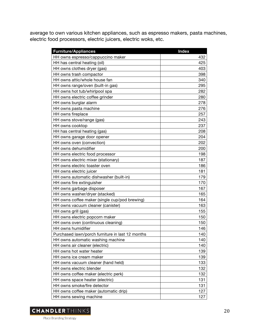average to own various kitchen appliances, such as espresso makers, pasta machines, electric food processors, electric juicers, electric woks, etc.

| <b>Furniture/Appliances</b>                      | <b>Index</b> |
|--------------------------------------------------|--------------|
| HH owns espresso/cappuccino maker                | 432          |
| HH has central heating (oil)                     | 425          |
| HH owns clothes dryer (gas)                      | 403          |
| HH owns trash compactor                          | 398          |
| HH owns attic/whole house fan                    | 340          |
| HH owns range/oven (built-in gas)                | 295          |
| HH owns hot tub/whirlpool spa                    | 282          |
| HH owns electric coffee grinder                  | 280          |
| HH owns burglar alarm                            | 278          |
| HH owns pasta machine                            | 276          |
| HH owns fireplace                                | 257          |
| HH owns stove/range (gas)                        | 243          |
| HH owns cooktop                                  | 237          |
| HH has central heating (gas)                     | 208          |
| HH owns garage door opener                       | 204          |
| HH owns oven (convection)                        | 202          |
| HH owns dehumidifier                             | 200          |
| HH owns electric food processor                  | 198          |
| HH owns electric mixer (stationary)              | 187          |
| HH owns electric toaster oven                    | 186          |
| HH owns electric juicer                          | 181          |
| HH owns automatic dishwasher (built-in)          | 179          |
| HH owns fire extinguisher                        | 170          |
| HH owns garbage disposer                         | 167          |
| HH owns washer/dryer (stacked)                   | 165          |
| HH owns coffee maker (single cup/pod brewing)    | 164          |
| HH owns vacuum cleaner (canister)                | 163          |
| HH owns grill (gas)                              | 155          |
| HH owns electric popcorn maker                   | 150          |
| HH owns oven (continuous cleaning)               | 150          |
| HH owns humidifier                               | 146          |
| Purchased lawn/porch furniture in last 12 months | 140          |
| HH owns automatic washing machine                | 140          |
| HH owns air cleaner (electric)                   | 140          |
| HH owns hot water heater                         | 139          |
| HH owns ice cream maker                          | 139          |
| HH owns vacuum cleaner (hand held)               | 133          |
| HH owns electric blender                         | 132          |
| HH owns coffee maker (electric perk)             | 132          |
| HH owns space heater (electric)                  | 131          |
| HH owns smoke/fire detector                      | 131          |
| HH owns coffee maker (automatic drip)            | 127          |
| HH owns sewing machine                           | 127          |

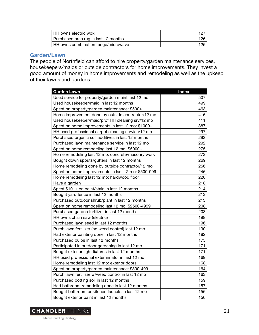| HH owns electric wok                 | 127  |
|--------------------------------------|------|
| Purchased area rug in last 12 months | 126. |
| HH owns combination range/microwave  | 125  |

#### **Garden/Lawn**

The people of Northfield can afford to hire property/garden maintenance services, housekeepers/maids or outside contractors for home improvements. They invest a good amount of money in home improvements and remodeling as well as the upkeep of their lawns and gardens.

| <b>Garden Lawn</b>                                  | <b>Index</b> |
|-----------------------------------------------------|--------------|
| Used service for property/garden maint last 12 mo   | 507          |
| Used housekeeper/maid in last 12 months             | 499          |
| Spent on property/garden maintenance: \$500+        | 463          |
| Home improvement done by outside contractor/12 mo   | 416          |
| Used housekeeper/maid/prof HH cleaning srv/12 mo    | 411          |
| Spent on home improvements in last 12 mo: \$1000+   | 387          |
| HH used professional carpet cleaning service/12 mo  | 297          |
| Purchased organic soil additives in last 12 months  | 293          |
| Purchased lawn maintenance service in last 12 mo    | 292          |
| Spent on home remodeling last 12 mo: \$5000+        | 275          |
| Home remodeling last 12 mo: concrete/masonry work   | 273          |
| Bought down spouts/gutters in last 12 months        | 269          |
| Home remodeling done by outside contractor/12 mo    | 256          |
| Spent on home improvements in last 12 mo: \$500-999 | 246          |
| Home remodeling last 12 mo: hardwood floor          | 226          |
| Have a garden                                       | 218          |
| Spent \$101+ on paint/stain in last 12 months       | 214          |
| Bought yard fence in last 12 months                 | 213          |
| Purchased outdoor shrub/plant in last 12 months     | 213          |
| Spent on home remodeling last 12 mo: \$2500-4999    | 208          |
| Purchased garden fertilizer in last 12 months       | 203          |
| HH owns chain saw (electric)                        | 198          |
| Purchased lawn seed in last 12 months               | 196          |
| Purch lawn fertilizer (no weed control) last 12 mo  | 190          |
| Had exterior painting done in last 12 months        | 182          |
| Purchased bulbs in last 12 months                   | 175          |
| Participated in outdoor gardening in last 12 mo     | 171          |
| Bought exterior light fixtures in last 12 months    | 171          |
| HH used professional exterminator in last 12 mo     | 169          |
| Home remodeling last 12 mo: exterior doors          | 168          |
| Spent on property/garden maintenance: \$300-499     | 164          |
| Purch lawn fertilizer w/weed control in last 12 mo  | 163          |
| Purchased potting soil in last 12 months            | 159          |
| Had bathroom remodeling done in last 12 months      | 157          |
| Bought bathroom or kitchen faucets in last 12 mo    | 156          |
| Bought exterior paint in last 12 months             | 156          |

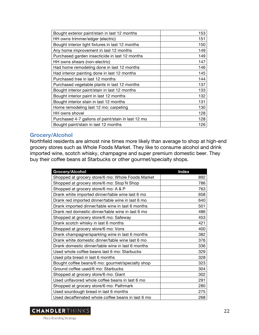| Bought exterior paint/stain in last 12 months      | 153 |
|----------------------------------------------------|-----|
| HH owns trimmer/edger (electric)                   | 151 |
| Bought interior light fixtures in last 12 months   | 150 |
| Any home improvement in last 12 months             | 149 |
| Purchased garden insecticide in last 12 months     | 149 |
| HH owns shears (non-electric)                      | 147 |
| Had home remodeling done in last 12 months         | 146 |
| Had interior painting done in last 12 months       | 145 |
| Purchased tree in last 12 months                   | 144 |
| Purchased vegetable plants in last 12 months       | 137 |
| Bought interior paint/stain in last 12 months      | 133 |
| Bought interior paint in last 12 months            | 132 |
| Bought interior stain in last 12 months            | 131 |
| Home remodeling last 12 mo: carpeting              | 130 |
| HH owns shovel                                     | 128 |
| Purchased 4-7 gallons of paint/stain in last 12 mo | 128 |
| Bought paint/stain in last 12 months               | 126 |

# **Grocery/Alcohol**

Northfield residents are almost nine times more likely than average to shop at high-end grocery stores such as Whole Foods Market. They like to consume alcohol and drink imported wine, scotch whisky, champagne and super premium domestic beer. They buy their coffee beans at Starbucks or other gourmet/specialty shops.

| Grocery/Alcohol                                    | <b>Index</b> |
|----------------------------------------------------|--------------|
| Shopped at grocery store/6 mo: Whole Foods Market  | 892          |
| Shopped at grocery store/6 mo: Stop`N Shop         | 786          |
| Shopped at grocery store/6 mo: A & P               | 763          |
| Drank white imported dinner/table wine last 6 mo   | 658          |
| Drank red imported dinner/table wine in last 6 mo  | 640          |
| Drank imported dinner/table wine in last 6 months  | 501          |
| Drank red domestic dinner/table wine in last 6 mo  | 486          |
| Shopped at grocery store/6 mo: Safeway             | 453          |
| Drank scotch whisky in last 6 months               | 421          |
| Shopped at grocery store/6 mo: Vons                | 400          |
| Drank champagne/sparkling wine in last 6 months    | 382          |
| Drank white domestic dinner/table wine last 6 mo   | 376          |
| Drank domestic dinner/table wine in last 6 months  | 336          |
| Used whole coffee beans last 6 mo: Starbucks       | 329          |
| Used pita bread in last 6 months                   | 328          |
| Bought coffee beans/6 mo: gourmet/specialty shop   | 323          |
| Ground coffee used/6 mo: Starbucks                 | 304          |
| Shopped at grocery store/6 mo: Giant               | 302          |
| Used unflavored whole coffee beans in last 6 mo    | 291          |
| Shopped at grocery store/6 mo: Pathmark            | 280          |
| Used sourdough bread in last 6 months              | 275          |
| Used decaffeinated whole coffee beans in last 6 mo | 268          |

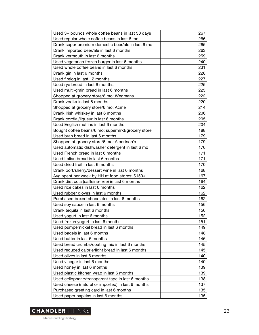| Used 3+ pounds whole coffee beans in last 30 days  | 267 |
|----------------------------------------------------|-----|
| Used regular whole coffee beans in last 6 mo       | 266 |
| Drank super premium domestic beer/ale in last 6 mo | 265 |
| Drank imported beer/ale in last 6 months           | 263 |
| Drank vermouth in last 6 months                    | 259 |
| Used vegetarian frozen burger in last 6 months     | 240 |
| Used whole coffee beans in last 6 months           | 231 |
| Drank gin in last 6 months                         | 228 |
| Used firelog in last 12 months                     | 227 |
| Used rye bread in last 6 months                    | 225 |
| Used multi-grain bread in last 6 months            | 223 |
| Shopped at grocery store/6 mo: Wegmans             | 222 |
| Drank vodka in last 6 months                       | 220 |
| Shopped at grocery store/6 mo: Acme                | 214 |
| Drank Irish whiskey in last 6 months               | 206 |
| Drank cordial/liqueur in last 6 months             | 205 |
| Used English muffins in last 6 months              | 204 |
| Bought coffee beans/6 mo: supermrkt/grocery store  | 188 |
| Used bran bread in last 6 months                   | 179 |
| Shopped at grocery store/6 mo: Albertson's         | 179 |
| Used automatic dishwasher detergent in last 6 mo   | 176 |
| Used French bread in last 6 months                 | 171 |
| Used Italian bread in last 6 months                | 171 |
| Used dried fruit in last 6 months                  | 170 |
| Drank port/sherry/dessert wine in last 6 months    | 168 |
| Avg spent per week by HH at food stores: \$150+    | 167 |
| Drank diet cola (caffeine-free) in last 6 months   | 164 |
| Used rice cakes in last 6 months                   | 162 |
| Used rubber gloves in last 6 months                | 162 |
| Purchased boxed chocolates in last 6 months        | 162 |
| Used soy sauce in last 6 months                    | 156 |
| Drank tequila in last 6 months                     | 156 |
| Used yogurt in last 6 months                       | 152 |
| Used frozen yogurt in last 6 months                | 151 |
| Used pumpernickel bread in last 6 months           | 149 |
| Used bagels in last 6 months                       | 148 |
| Used butter in last 6 months                       | 146 |
| Used bread crumbs/coating mix in last 6 months     | 145 |
| Used reduced calorie/light bread in last 6 months  | 145 |
| Used olives in last 6 months                       | 140 |
| Used vinegar in last 6 months                      | 140 |
| Used honey in last 6 months                        | 139 |
| Used plastic kitchen wrap in last 6 months         | 139 |
| Used cellophane/transparent tape in last 6 months  | 138 |
| Used cheese (natural or imported) in last 6 months | 137 |
| Purchased greeting card in last 6 months           | 135 |
| Used paper napkins in last 6 months                | 135 |

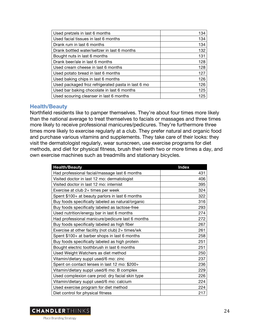| Used pretzels in last 6 months                     | 134 |
|----------------------------------------------------|-----|
| Used facial tissues in last 6 months               | 134 |
| Drank rum in last 6 months                         | 134 |
| Drank bottled water/seltzer in last 6 months       | 132 |
| Bought nuts in last 6 months                       | 131 |
| Drank beer/ale in last 6 months                    | 128 |
| Used cream cheese in last 6 months                 | 128 |
| Used potato bread in last 6 months                 | 127 |
| Used baking chips in last 6 months                 | 126 |
| Used packaged froz refrigerated pasta in last 6 mo | 126 |
| Used bar baking chocolate in last 6 months         | 125 |
| Used scouring cleanser in last 6 months            | 125 |

#### **Health/Beauty**

Northfield residents like to pamper themselves. They're about four times more likely than the national average to treat themselves to facials or massages and three times more likely to receive professional manicures/pedicures. They're furthermore three times more likely to exercise regularly at a club. They prefer natural and organic food and purchase various vitamins and supplements. They take care of their looks: they visit the dermatologist regularly, wear sunscreen, use exercise programs for diet methods, and diet for physical fitness, brush their teeth two or more times a day, and own exercise machines such as treadmills and stationary bicycles.

| <b>Health/Beauty</b>                              | <b>Index</b> |
|---------------------------------------------------|--------------|
| Had professional facial/massage last 6 months     | 431          |
| Visited doctor in last 12 mo: dermatologist       | 406          |
| Visited doctor in last 12 mo: internist           | 395          |
| Exercise at club 2+ times per week                | 324          |
| Spent \$100+ at beauty parlors in last 6 months   | 322          |
| Buy foods specifically labeled as natural/organic | 316          |
| Buy foods specifically labeled as lactose-free    | 293          |
| Used nutrition/energy bar in last 6 months        | 274          |
| Had professional manicure/pedicure last 6 months  | 272          |
| Buy foods specifically labeled as high fiber      | 267          |
| Exercise at other facility (not club) 2+ times/wk | 261          |
| Spent \$100+ at barber shops in last 6 months     | 258          |
| Buy foods specifically labeled as high protein    | 251          |
| Bought electric toothbrush in last 6 months       | 251          |
| Used Weight Watchers as diet method               | 250          |
| Vitamin/dietary suppl used/6 mo: zinc             | 237          |
| Spent on contact lenses in last 12 mo: \$200+     | 236          |
| Vitamin/dietary suppl used/6 mo: B complex        | 229          |
| Used complexion care prod: dry facial skin type   | 226          |
| Vitamin/dietary suppl used/6 mo: calcium          | 224          |
| Used exercise program for diet method             | 224          |
| Diet control for physical fitness                 | 217          |

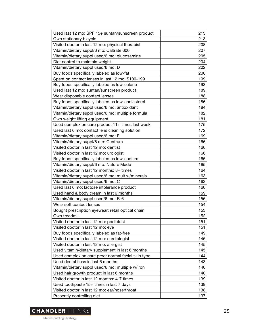| Used last 12 mo: SPF 15+ suntan/sunscreen product  | 213 |
|----------------------------------------------------|-----|
| Own stationary bicycle                             | 213 |
| Visited doctor in last 12 mo: physical therapist   | 208 |
| Vitamin/dietary suppl/6 mo: Caltrate 600           | 207 |
| Vitamin/dietary suppl used/6 mo: glucosamine       | 205 |
| Diet control to maintain weight                    | 204 |
| Vitamin/dietary suppl used/6 mo: D                 | 202 |
| Buy foods specifically labeled as low-fat          | 200 |
| Spent on contact lenses in last 12 mo: \$100-199   | 199 |
| Buy foods specifically labeled as low-calorie      | 193 |
| Used last 12 mo: suntan/sunscreen product          | 189 |
| Wear disposable contact lenses                     | 188 |
| Buy foods specifically labeled as low-cholesterol  | 186 |
| Vitamin/dietary suppl used/6 mo: antioxidant       | 184 |
| Vitamin/dietary suppl used/6 mo: multiple formula  | 182 |
| Own weight lifting equipment                       | 181 |
| Used complexion care product 11+ times last week   | 175 |
| Used last 6 mo: contact lens cleaning solution     | 172 |
| Vitamin/dietary suppl used/6 mo: E                 | 169 |
| Vitamin/dietary suppl/6 mo: Centrum                | 166 |
| Visited doctor in last 12 mo: dentist              | 166 |
| Visited doctor in last 12 mo: urologist            | 166 |
| Buy foods specifically labeled as low-sodium       | 165 |
| Vitamin/dietary suppl/6 mo: Nature Made            | 165 |
| Visited doctor in last 12 months: 8+ times         | 164 |
| Vitamin/dietary suppl used/6 mo: mult w/minerals   | 163 |
| Vitamin/dietary suppl used/6 mo: C                 | 162 |
| Used last 6 mo: lactose intolerance product        | 160 |
| Used hand & body cream in last 6 months            | 159 |
| Vitamin/dietary suppl used/6 mo: B-6               | 156 |
| Wear soft contact lenses                           | 154 |
| Bought prescription eyewear: retail optical chain  | 153 |
| Own treadmill                                      | 152 |
| Visited doctor in last 12 mo: podiatrist           | 151 |
| Visited doctor in last 12 mo: eye                  | 151 |
| Buy foods specifically labeled as fat-free         | 149 |
| Visited doctor in last 12 mo: cardiologist         | 146 |
| Visited doctor in last 12 mo: allergist            | 145 |
| Used vitamin/dietary supplement in last 6 months   | 145 |
| Used complexion care prod: normal facial skin type | 144 |
| Used dental floss in last 6 months                 | 143 |
| Vitamin/dietary suppl used/6 mo: multiple w/iron   | 140 |
| Used hair growth product in last 6 months          | 140 |
| Visited doctor in last 12 months: 4-7 times        | 139 |
| Used toothpaste 15+ times in last 7 days           | 139 |
| Visited doctor in last 12 mo: ear/nose/throat      | 138 |
| Presently controlling diet                         | 137 |

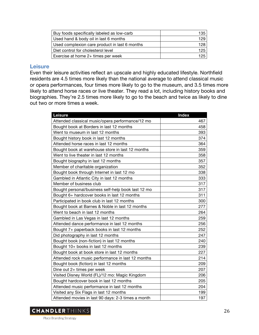| Buy foods specifically labeled as low-carb    | 135. |
|-----------------------------------------------|------|
| Used hand & body oil in last 6 months         | 129  |
| Used complexion care product in last 6 months | 128. |
| Diet control for cholesterol level            | 125  |
| Exercise at home 2+ times per week            | 125  |

#### **Leisure**

Even their leisure activities reflect an upscale and highly educated lifestyle. Northfield residents are 4.5 times more likely than the national average to attend classical music or opera performances, four times more likely to go to the museum, and 3.5 times more likely to attend horse races or live theater. They read a lot, including history books and biographies. They're 2.5 times more likely to go to the beach and twice as likely to dine out two or more times a week.

| Leisure                                            | <b>Index</b> |
|----------------------------------------------------|--------------|
| Attended classical music/opera performance/12 mo   | 467          |
| Bought book at Borders in last 12 months           | 458          |
| Went to museum in last 12 months                   | 393          |
| Bought history book in last 12 months              | 374          |
| Attended horse races in last 12 months             | 364          |
| Bought book at warehouse store in last 12 months   | 359          |
| Went to live theater in last 12 months             | 358          |
| Bought biography in last 12 months                 | 357          |
| Member of charitable organization                  | 352          |
| Bought book through Internet in last 12 mo         | 338          |
| Gambled in Atlantic City in last 12 months         | 333          |
| Member of business club                            | 317          |
| Bought personal/business self-help book last 12 mo | 317          |
| Bought 6+ hardcover books in last 12 months        | 311          |
| Participated in book club in last 12 months        | 300          |
| Bought book at Barnes & Noble in last 12 months    | 277          |
| Went to beach in last 12 months                    | 264          |
| Gambled in Las Vegas in last 12 months             | 259          |
| Attended dance performance in last 12 months       | 256          |
| Bought 7+ paperback books in last 12 months        | 252          |
| Did photography in last 12 months                  | 247          |
| Bought book (non-fiction) in last 12 months        | 240          |
| Bought 10+ books in last 12 months                 | 239          |
| Bought book at book store in last 12 months        | 227          |
| Attended rock music performance in last 12 months  | 214          |
| Bought book (fiction) in last 12 months            | 209          |
| Dine out 2+ times per week                         | 207          |
| Visited Disney World (FL)/12 mo: Magic Kingdom     | 206          |
| Bought hardcover book in last 12 months            | 205          |
| Attended music performance in last 12 months       | 204          |
| Visited any Six Flags in last 12 months            | 199          |
| Attended movies in last 90 days: 2-3 times a month | 197          |

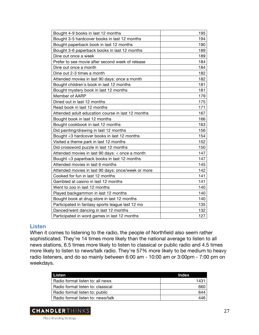| Bought 4-9 books in last 12 months                 | 195 |
|----------------------------------------------------|-----|
| Bought 3-5 hardcover books in last 12 months       | 194 |
| Bought paperback book in last 12 months            | 190 |
| Bought 3-6 paperback books in last 12 months       | 189 |
| Dine out once a week                               | 189 |
| Prefer to see movie after second week of release   | 184 |
| Dine out once a month                              | 184 |
| Dine out 2-3 times a month                         | 182 |
| Attended movies in last 90 days: once a month      | 182 |
| Bought children's book in last 12 months           | 181 |
| Bought mystery book in last 12 months              | 181 |
| Member of AARP                                     | 179 |
| Dined out in last 12 months                        | 175 |
| Read book in last 12 months                        | 171 |
| Attended adult education course in last 12 months  | 167 |
| Bought book in last 12 months                      | 166 |
| Bought cookbook in last 12 months                  | 163 |
| Did painting/drawing in last 12 months             | 156 |
| Bought <3 hardcover books in last 12 months        | 154 |
| Visited a theme park in last 12 months             | 152 |
| Did crossword puzzle in last 12 months             | 150 |
| Attended movies in last 90 days: < once a month    | 147 |
| Bought <3 paperback books in last 12 months        | 147 |
| Attended movies in last 6 months                   | 145 |
| Attended movies in last 90 days: once/week or more | 142 |
| Cooked for fun in last 12 months                   | 141 |
| Gambled at casino in last 12 months                | 141 |
| Went to zoo in last 12 months                      | 140 |
| Played backgammon in last 12 months                | 140 |
| Bought book at drug store in last 12 months        | 140 |
| Participated in fantasy sports league last 12 mo   | 135 |
| Danced/went dancing in last 12 months              | 132 |
| Participated in word games in last 12 months       | 127 |

#### **Listen**

When it comes to listening to the radio, the people of Northfield also seem rather sophisticated. They're 14 times more likely than the national average to listen to all news stations, 6.5 times more likely to listen to classical or public radio and 4.5 times more likely to listen to news/talk radio. They're 57% more likely to be medium to heavy radio listeners, and do so mainly between 6:00 am - 10:00 am or 3:00pm - 7:00 pm on weekdays.

| Listen                            | Index |
|-----------------------------------|-------|
| Radio format listen to: all news  | 1431  |
| Radio format listen to: classical | 660   |
| Radio format listen to: public    | 644   |
| Radio format listen to: news/talk | 446   |

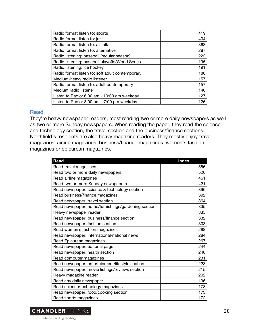| Radio format listen to: sports                  | 419 |
|-------------------------------------------------|-----|
| Radio format listen to: jazz                    | 404 |
| Radio format listen to: all talk                | 363 |
| Radio format listen to: alternative             | 287 |
| Radio listening: baseball (regular season)      | 222 |
| Radio listening: baseball playoffs/World Series | 195 |
| Radio listening: ice hockey                     | 191 |
| Radio format listen to: soft adult contemporary | 186 |
| Medium-heavy radio listener                     | 157 |
| Radio format listen to: adult contemporary      | 157 |
| Medium radio listener                           | 140 |
| Listen to Radio: 6:00 am - 10:00 am weekday     | 127 |
| Listen to Radio: 3:00 pm - 7:00 pm weekday      | 126 |

#### **Read**

They're heavy newspaper readers, most reading two or more daily newspapers as well as two or more Sunday newspapers. When reading the paper, they read the science and technology section, the travel section and the business/finance sections. Northfield's residents are also heavy magazine readers. They mostly enjoy travel magazines, airline magazines, business/finance magazines, women's fashion magazines or epicurean magazines.

| Read                                               | <b>Index</b> |
|----------------------------------------------------|--------------|
| Read travel magazines                              | 556          |
| Read two or more daily newspapers                  | 526          |
| Read airline magazines                             | 461          |
| Read two or more Sunday newspapers                 | 421          |
| Read newspaper: science & technology section       | 396          |
| Read business/finance magazines                    | 392          |
| Read newspaper: travel section                     | 364          |
| Read newspaper: home/furnishings/gardening section | 335          |
| Heavy newspaper reader                             | 335          |
| Read newspaper: business/finance section           | 332          |
| Read newspaper: fashion section                    | 303          |
| Read women's fashion magazines                     | 288          |
| Read newspaper: international/national news        | 284          |
| Read Epicurean magazines                           | 267          |
| Read newspaper: editorial page                     | 244          |
| Read newspaper: health section                     | 240          |
| Read computer magazines                            | 231          |
| Read newspaper: entertainment/lifestyle section    | 228          |
| Read newspaper: movie listings/reviews section     | 215          |
| Heavy magazine reader                              | 202          |
| Read any daily newspaper                           | 196          |
| Read science/technology magazines                  | 178          |
| Read newspaper: food/cooking section               | 173          |
| Read sports magazines                              | 172          |

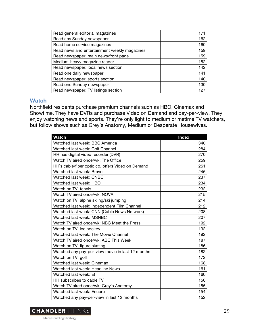| Read general editorial magazines             | $17 -$ |
|----------------------------------------------|--------|
| Read any Sunday newspaper                    | 162    |
| Read home service magazines                  | 160    |
| Read news and entertainment weekly magazines | 159    |
| Read newspaper: main news/front page         | 159    |
| Medium-heavy magazine reader                 | 152    |
| Read newspaper: local news section           | 142    |
| Read one daily newspaper                     | 141    |
| Read newspaper: sports section               | 140    |
| Read one Sunday newspaper                    | 130    |
| Read newspaper: TV listings section          | 127    |

# **Watch**

Northfield residents purchase premium channels such as HBO, Cinemax and Showtime. They have DVRs and purchase Video on Demand and pay-per-view. They enjoy watching news and sports. They're only light to medium primetime TV watchers, but follow shows such as Grey's Anatomy, Medium or Desperate Housewives.

| <b>Watch</b>                                      | <b>Index</b> |
|---------------------------------------------------|--------------|
| Watched last week: BBC America                    | 340          |
| Watched last week: Golf Channel                   | 284          |
| HH has digital video recorder (DVR)               | 270          |
| Watch TV aired once/wk: The Office                | 259          |
| HH's cable/fiber optic co. offers Video on Demand | 251          |
| Watched last week: Bravo                          | 246          |
| Watched last week: CNBC                           | 237          |
| Watched last week: HBO                            | 234          |
| Watch on TV: tennis                               | 232          |
| Watch TV aired once/wk: NOVA                      | 215          |
| Watch on TV: alpine skiing/ski jumping            | 214          |
| Watched last week: Independent Film Channel       | 212          |
| Watched last week: CNN (Cable News Network)       | 208          |
| Watched last week: MSNBC                          | 207          |
| Watch TV aired once/wk: NBC Meet the Press        | 192          |
| Watch on TV: ice hockey                           | 192          |
| Watched last week: The Movie Channel              | 192          |
| Watch TV aired once/wk: ABC This Week             | 187          |
| Watch on TV: figure skating                       | 186          |
| Watched any pay-per-view movie in last 12 months  | 182          |
| Watch on TV: golf                                 | 172          |
| Watched last week: Cinemax                        | 168          |
| Watched last week: Headline News                  | 161          |
| Watched last week: E!                             | 160          |
| HH subscribes to cable TV                         | 156          |
| Watch TV aired once/wk: Grey's Anatomy            | 155          |
| Watched last week: Encore                         | 154          |
| Watched any pay-per-view in last 12 months        | 152          |

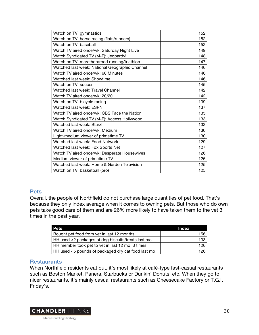| Watch on TV: gymnastics                        | 152 |
|------------------------------------------------|-----|
| Watch on TV: horse racing (flats/runners)      | 152 |
| Watch on TV: baseball                          | 152 |
| Watch TV aired once/wk: Saturday Night Live    | 149 |
| Watch Syndicated TV (M-F): Jeopardy!           | 148 |
| Watch on TV: marathon/road running/triathlon   | 147 |
| Watched last week: National Geographic Channel | 146 |
| Watch TV aired once/wk: 60 Minutes             | 146 |
| Watched last week: Showtime                    | 146 |
| Watch on TV: soccer                            | 145 |
| Watched last week: Travel Channel              | 142 |
| Watch TV aired once/wk: 20/20                  | 142 |
| Watch on TV: bicycle racing                    | 139 |
| Watched last week: ESPN                        | 137 |
| Watch TV aired once/wk: CBS Face the Nation    | 135 |
| Watch Syndicated TV (M-F): Access Hollywood    | 133 |
| Watched last week: Starz!                      | 132 |
| Watch TV aired once/wk: Medium                 | 130 |
| Light-medium viewer of primetime TV            | 130 |
| Watched last week: Food Network                | 129 |
| Watched last week: Fox Sports Net              | 127 |
| Watch TV aired once/wk: Desperate Housewives   | 126 |
| Medium viewer of primetime TV                  | 125 |
| Watched last week: Home & Garden Television    | 125 |
| Watch on TV: basketball (pro)                  | 125 |

# **Pets**

Overall, the people of Northfield do not purchase large quantities of pet food. That's because they only index average when it comes to owning pets. But those who do own pets take good care of them and are 26% more likely to have taken them to the vet 3 times in the past year.

| <b>Pets</b>                                        | Index |
|----------------------------------------------------|-------|
| Bought pet food from vet in last 12 months         | 156   |
| HH used <2 packages of dog biscuits/treats last mo | 133   |
| HH member took pet to vet in last 12 mo: 3 times   | 126   |
| HH used <5 pounds of packaged dry cat food last mo | 126   |

# **Restaurants**

When Northfield residents eat out, it's most likely at café-type fast-casual restaurants such as Boston Market, Panera, Starbucks or Dunkin' Donuts, etc. When they go to nicer restaurants, it's mainly casual restaurants such as Cheesecake Factory or T.G.I. Friday's.

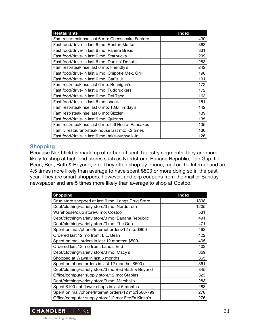| <b>Restaurants</b>                                 | <b>Index</b> |
|----------------------------------------------------|--------------|
| Fam rest/steak hse last 6 mo: Cheesecake Factory   | 430          |
| Fast food/drive-in last 6 mo: Boston Market        | 363          |
| Fast food/drive-in last 6 mo: Panera Bread         | 331          |
| Fast food/drive-in last 6 mo: Starbucks            | 299          |
| Fast food/drive-in last 6 mo: Dunkin` Donuts       | 283          |
| Fam rest/steak hse last 6 mo: Friendly's           | 242          |
| Fast food/drive-in last 6 mo: Chipotle Mex. Grill  | 198          |
| Fast food/drive-in last 6 mo: Carl`s Jr.           | 191          |
| Fam rest/steak hse last 6 mo: Bennigan's           | 172          |
| Fast food/drive-in last 6 mo: Fuddruckers          | 172          |
| Fast food/drive-in last 6 mo: Del Taco             | 163          |
| Fast food/drive-in last 6 mo: snack                | 151          |
| Fam rest/steak hse last 6 mo: T.G.I. Friday's      | 142          |
| Fam rest/steak hse last 6 mo: Sizzler              | 139          |
| Fast food/drive-in last 6 mo: Quiznos              | 135          |
| Fam rest/steak hse last 6 mo: Intl Hse of Pancakes | 135          |
| Family restaurant/steak house last mo: <2 times    | 130          |
| Fast food/drive-in last 6 mo: take-out/walk-in     | 126          |

# **Shopping**

Because Northfield is made up of rather affluent Tapestry segments, they are more likely to shop at high-end stores such as Nordstrom, Banana Republic, The Gap, L.L. Bean, Bed, Bath & Beyond, etc. They often shop by phone, mail or the Internet and are 4.5 times more likely than average to have spent \$800 or more doing so in the past year. They are smart shoppers, however, and clip coupons from the mail or Sunday newspaper and are 5 times more likely than average to shop at Costco.

| <b>Shopping</b>                                     | <b>Index</b> |
|-----------------------------------------------------|--------------|
| Drug store shopped at last 6 mo: Longs Drug Store   | 1398         |
| Dept/clothing/variety store/3 mo: Nordstrom         | 1205         |
| Warehouse/club store/6 mo: Costco                   | 531          |
| Dept/clothing/variety store/3 mo: Banana Republic   | 491          |
| Dept/clothing/variety store/3 mo: The Gap           | 471          |
| Spent on mail/phone/Internet orders/12 mo: \$800+   | 463          |
| Ordered last 12 mo from: L.L. Bean                  | 422          |
| Spent on mail orders in last 12 months: \$500+      | 405          |
| Ordered last 12 mo from: Lands` End                 | 403          |
| Dept/clothing/variety store/3 mo: Macy's            | 369          |
| Shopped at Wawa in last 6 months                    | 365          |
| Spent on phone orders in last 12 months: \$500+     | 361          |
| Dept/clothing/variety store/3 mo:Bed Bath & Beyond  | 345          |
| Office/computer supply store/12 mo: Staples         | 323          |
| Dept/clothing/variety store/3 mo: Marshalls         | 283          |
| Spent \$100+ at flower shops in last 6 months       | 283          |
| Spent on mail/phone/Internet orders/12 mo:\$500-799 | 278          |
| Office/computer supply store/12 mo: FedEx Kinko's   | 276          |

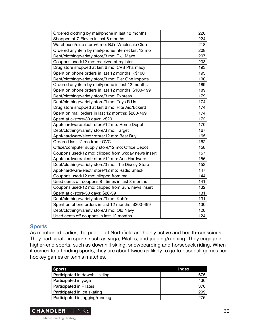| Ordered clothing by mail/phone in last 12 months   | 226 |
|----------------------------------------------------|-----|
| Shopped at 7-Eleven in last 6 months               | 224 |
| Warehouse/club store/6 mo: BJ's Wholesale Club     | 218 |
| Ordered any item by mail/phone/Internet last 12 mo | 208 |
| Dept/clothing/variety store/3 mo: T.J. Maxx        | 207 |
| Coupons used/12 mo: received at register           | 203 |
| Drug store shopped at last 6 mo: CVS Pharmacy      | 193 |
| Spent on phone orders in last 12 months: <\$100    | 193 |
| Dept/clothing/variety store/3 mo: Pier One Imports | 190 |
| Ordered any item by mail/phone in last 12 months   | 189 |
| Spent on phone orders in last 12 months: \$100-199 | 189 |
| Dept/clothing/variety store/3 mo: Express          | 179 |
| Dept/clothing/variety store/3 mo: Toys R Us        | 174 |
| Drug store shopped at last 6 mo: Rite Aid/Eckerd   | 174 |
| Spent on mail orders in last 12 months: \$200-499  | 174 |
| Spent at c-store/30 days: <\$20                    | 172 |
| Appl/hardware/electr store/12 mo: Home Depot       | 170 |
| Dept/clothing/variety store/3 mo: Target           | 167 |
| Appl/hardware/electr store/12 mo: Best Buy         | 165 |
| Ordered last 12 mo from: QVC                       | 162 |
| Office/computer supply store/12 mo: Office Depot   | 158 |
| Coupons used/12 mo: clipped from wkday news insert | 157 |
| Appl/hardware/electr store/12 mo: Ace Hardware     | 156 |
| Dept/clothing/variety store/3 mo: The Disney Store | 152 |
| Appl/hardware/electr store/12 mo: Radio Shack      | 147 |
| Coupons used/12 mo: clipped from mail              | 144 |
| Used cents off coupons 8+ times in last 3 months   | 141 |
| Coupons used/12 mo: clipped from Sun. news insert  | 132 |
| Spent at c-store/30 days: \$20-39                  | 131 |
| Dept/clothing/variety store/3 mo: Kohl`s           | 131 |
| Spent on phone orders in last 12 months: \$200-499 | 130 |
| Dept/clothing/variety store/3 mo: Old Navy         | 128 |
| Used cents off coupons in last 12 months           | 124 |

# **Sports**

As mentioned earlier, the people of Northfield are highly active and health-conscious. They participate in sports such as yoga, Pilates, and jogging/running. They engage in higher-end sports, such as downhill skiing, snowboarding and horseback riding. When it comes to attending sports, they are about twice as likely to go to baseball games, ice hockey games or tennis matches.

| <b>Sports</b>                   | <b>Index</b> |
|---------------------------------|--------------|
| Participated in downhill skiing | 675          |
| Participated in yoga            | 436          |
| Participated in Pilates         | 376          |
| Participated in ice skating     | 299          |
| Participated in jogging/running | 275          |

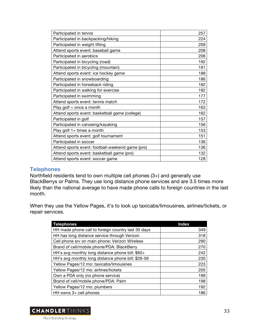| Participated in tennis                           | 257 |
|--------------------------------------------------|-----|
| Participated in backpacking/hiking               | 224 |
| Participated in weight lifting                   | 209 |
| Attend sports event: baseball game               | 208 |
| Participated in aerobics                         | 206 |
| Participated in bicycling (road)                 | 192 |
| Participated in bicycling (mountain)             | 191 |
| Attend sports event: ice hockey game             | 188 |
| Participated in snowboarding                     | 186 |
| Participated in horseback riding                 | 182 |
| Participated in walking for exercise             | 182 |
| Participated in swimming                         | 177 |
| Attend sports event: tennis match                | 172 |
| Play golf < once a month                         | 163 |
| Attend sports event: basketball game (college)   | 162 |
| Participated in golf                             | 157 |
| Participated in canoeing/kayaking                | 156 |
| Play golf 1+ times a month                       | 153 |
| Attend sports event: golf tournament             | 151 |
| Participated in soccer                           | 136 |
| Attend sports event: football-weekend game (pro) | 136 |
| Attend sports event: basketball game (pro)       | 132 |
| Attend sports event: soccer game                 | 128 |

### **Telephones**

Northfield residents tend to own multiple cell phones (3+) and generally use BlackBerrys or Palms. They use long distance phone services and are 3.5 times more likely than the national average to have made phone calls to foreign countries in the last month.

When they use the Yellow Pages, it's to look up taxicabs/limousines, airlines/tickets, or repair services.

| <b>Telephones</b>                                  | <b>Index</b> |
|----------------------------------------------------|--------------|
| HH made phone call to foreign country last 30 days | 349          |
| HH has long distance service through Verizon       | 318          |
| Cell phone srv on main phone: Verizon Wireless     | 290          |
| Brand of cell/mobile phone/PDA: BlackBerry         | 270          |
| HH's avg monthly long distance phone bill: \$60+   | 242          |
| HH's avg monthly long distance phone bill: \$26-59 | 230          |
| Yellow Pages/12 mo: taxicabs/limousines            | 223          |
| Yellow Pages/12 mo: airlines/tickets               | 205          |
| Own a PDA only (no phone service)                  | 199          |
| Brand of cell/mobile phone/PDA: Palm               | 198          |
| Yellow Pages/12 mo: plumbers                       | 192          |
| HH owns $3+$ cell phones                           | 186          |

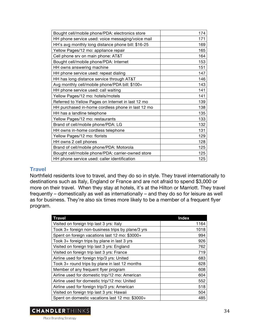| Bought cell/mobile phone/PDA: electronics store    | 174 |
|----------------------------------------------------|-----|
| HH phone service used: voice messaging/voice mail  | 171 |
| HH's avg monthly long distance phone bill: \$16-25 | 169 |
| Yellow Pages/12 mo: appliance repair               | 165 |
| Cell phone srv on main phone: AT&T                 | 164 |
| Bought cell/mobile phone/PDA: Internet             | 153 |
| HH owns answering machine                          | 151 |
| HH phone service used: repeat dialing              | 147 |
| HH has long distance service through AT&T          | 146 |
| Avg monthly cell/mobile phone/PDA bill: \$100+     | 143 |
| HH phone service used: call waiting                | 141 |
| Yellow Pages/12 mo: hotels/motels                  | 141 |
| Referred to Yellow Pages on Internet in last 12 mo | 139 |
| HH purchased in-home cordless phone in last 12 mo  | 138 |
| HH has a landline telephone                        | 135 |
| Yellow Pages/12 mo: restaurants                    | 133 |
| Brand of cell/mobile phone/PDA: LG                 | 132 |
| HH owns in-home cordless telephone                 | 131 |
| Yellow Pages/12 mo: florists                       | 129 |
| HH owns 2 cell phones                              | 128 |
| Brand of cell/mobile phone/PDA: Motorola           | 125 |
| Bought cell/mobile phone/PDA: carrier-owned store  | 125 |
| HH phone service used: caller identification       | 125 |

#### **Travel**

Northfield residents love to travel, and they do so in style. They travel internationally to destinations such as Italy, England or France and are not afraid to spend \$3,000 or more on their travel. When they stay at hotels, it's at the Hilton or Marriott. They travel frequently – domestically as well as internationally – and they do so for leisure as well as for business. They're also six times more likely to be a member of a frequent flyer program.

| <b>Travel</b>                                     | <b>Index</b> |
|---------------------------------------------------|--------------|
| Visited on foreign trip last 3 yrs: Italy         | 1164         |
| Took 3+ foreign non-business trips by plane/3 yrs | 1018         |
| Spent on foreign vacations last 12 mo: \$3000+    | 994          |
| Took 3+ foreign trips by plane in last 3 yrs      | 926          |
| Visited on foreign trip last 3 yrs: England       | 762          |
| Visited on foreign trip last 3 yrs: France        | 719          |
| Airline used for foreign trip/3 yrs: United       | 683          |
| Took 3+ round trips by plane in last 12 months    | 628          |
| Member of any frequent flyer program              | 608          |
| Airline used for domestic trip/12 mo: American    | 604          |
| Airline used for domestic trip/12 mo: United      | 552          |
| Airline used for foreign trip/3 yrs: American     | 518          |
| Visited on foreign trip last 3 yrs: Hawaii        | 504          |
| Spent on domestic vacations last 12 mo: \$3000+   | 485          |